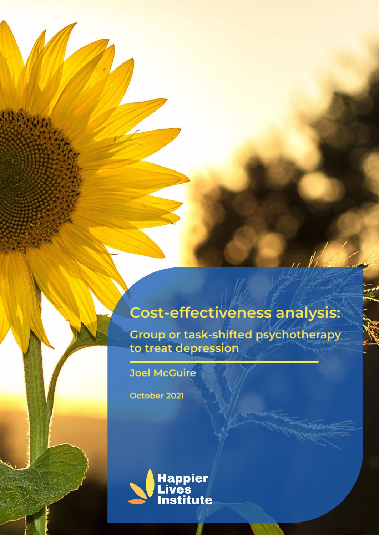# **Cost-effectiveness analysis:**

Group or task-shifted psychotherapy<br>to treat depression

**Joel McGuire** 

October 2021

433342

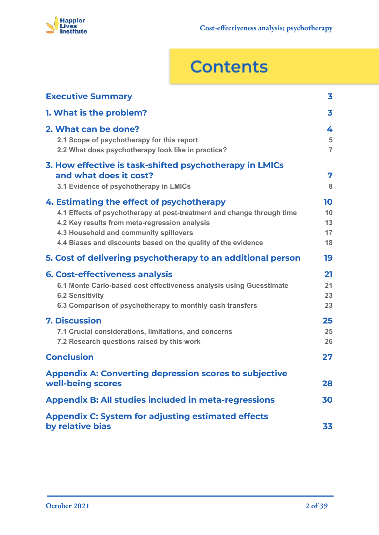

# **Contents**

| <b>Executive Summary</b>                                                                                                                                                                                                                                                        | 3                          |  |  |  |  |  |  |
|---------------------------------------------------------------------------------------------------------------------------------------------------------------------------------------------------------------------------------------------------------------------------------|----------------------------|--|--|--|--|--|--|
| 1. What is the problem?                                                                                                                                                                                                                                                         | 3                          |  |  |  |  |  |  |
| 2. What can be done?<br>2.1 Scope of psychotherapy for this report<br>2.2 What does psychotherapy look like in practice?                                                                                                                                                        | 4<br>5<br>$\overline{7}$   |  |  |  |  |  |  |
| 3. How effective is task-shifted psychotherapy in LMICs<br>and what does it cost?<br>3.1 Evidence of psychotherapy in LMICs                                                                                                                                                     | 7<br>8                     |  |  |  |  |  |  |
| 4. Estimating the effect of psychotherapy<br>4.1 Effects of psychotherapy at post-treatment and change through time<br>4.2 Key results from meta-regression analysis<br>4.3 Household and community spillovers<br>4.4 Biases and discounts based on the quality of the evidence | 10<br>10<br>13<br>17<br>18 |  |  |  |  |  |  |
| 5. Cost of delivering psychotherapy to an additional person                                                                                                                                                                                                                     | 19                         |  |  |  |  |  |  |
| <b>6. Cost-effectiveness analysis</b><br>6.1 Monte Carlo-based cost effectiveness analysis using Guesstimate<br><b>6.2 Sensitivity</b><br>6.3 Comparison of psychotherapy to monthly cash transfers                                                                             | 21<br>21<br>23<br>23       |  |  |  |  |  |  |
| <b>7. Discussion</b><br>7.1 Crucial considerations, limitations, and concerns<br>7.2 Research questions raised by this work                                                                                                                                                     | 25<br>25<br>26             |  |  |  |  |  |  |
| <b>Conclusion</b>                                                                                                                                                                                                                                                               | 27                         |  |  |  |  |  |  |
| <b>Appendix A: Converting depression scores to subjective</b><br>well-being scores                                                                                                                                                                                              | 28                         |  |  |  |  |  |  |
| <b>Appendix B: All studies included in meta-regressions</b><br>30                                                                                                                                                                                                               |                            |  |  |  |  |  |  |
| <b>Appendix C: System for adjusting estimated effects</b><br>by relative bias                                                                                                                                                                                                   | 33                         |  |  |  |  |  |  |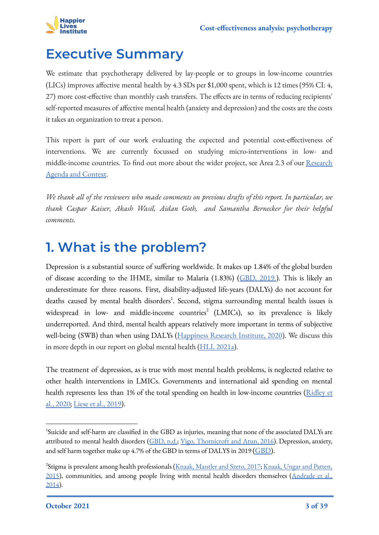

### <span id="page-2-0"></span>**Executive Summary**

We estimate that psychotherapy delivered by lay-people or to groups in low-income countries (LICs) improves affective mental health by 4.3 SDs per \$1,000 spent, which is 12 times (95% CI: 4, 27) more cost-effective than monthly cash transfers. The effects are in terms of reducing recipients' self-reported measures of affective mental health (anxiety and depression) and the costs are the costs it takes an organization to treat a person.

This report is part of our work evaluating the expected and potential cost-effectiveness of interventions. We are currently focussed on studying micro-interventions in low- and middle-income countries. To find out more about the wider project, see Area 2.3 of our [Research](https://www.happierlivesinstitute.org/uploads/1/0/9/9/109970865/research_agenda_and_contextv3.0.pdf) [Agenda and Context](https://www.happierlivesinstitute.org/uploads/1/0/9/9/109970865/research_agenda_and_contextv3.0.pdf).

*We thank all of the reviewers who made comments on previous drafts of this report. In particular, we thank Caspar Kaiser, Akash Wasil, Aidan Goth, and Samantha Bernecker for their helpful comments.*

### <span id="page-2-1"></span>**1. What is the problem?**

Depression is a substantial source of suffering worldwide. It makes up 1.84% of the global burden of disease according to the IHME, similar to Malaria (1.83%) ([GBD, 2019.](http://ghdx.healthdata.org/gbd-results-tool)). This is likely an underestimate for three reasons. First, disability-adjusted life-years (DALYs) do not account for deaths caused by mental health disorders<sup>1</sup>. Second, stigma surrounding mental health issues is widespread in low- and middle-income countries<sup>2</sup> (LMICs), so its prevalence is likely underreported. And third, mental health appears relatively more important in terms of subjective well-being (SWB) than when using DALYs ([Happiness Research Institute, 2020\)](https://6e3636b7-ad2f-4292-b910-faa23b9c20aa.filesusr.com/ugd/928487_1595c32a127341f7a2769c624898dc6c.pdf). We discuss this in more depth in our report on global mental health [\(HLI, 2021a](https://www.happierlivesinstitute.org/mental-health.html)).

The treatment of depression, as is true with most mental health problems, is neglected relative to other health interventions in LMICs. Governments and international aid spending on mental health represents less than 1% of the total spending on health in low-income countries [\(Ridley et](https://science.sciencemag.org/content/370/6522/eaay0214.editor-summary) [al., 2020;](https://science.sciencemag.org/content/370/6522/eaay0214.editor-summary) [Liese et al., 2019\)](https://academic.oup.com/inthealth/article/11/5/361/5537164).

<sup>&</sup>lt;sup>1</sup>Suicide and self-harm are classified in the GBD as injuries, meaning that none of the associated DALYs are attributed to mental health disorders ([GBD, n.d.;](http://ghdx.healthdata.org/gbd-results-tool) [Vigo, Thornicroft and Atun, 2016\)](https://www.thelancet.com/journals/lanpsy/article/PIIS2215-0366(15)00505-2/fulltext). Depression, anxiety, and self harm together make up 4.7% of the GBD in terms of DALYS in 2019 [\(GBD](http://ghdx.healthdata.org/gbd-results-tool)).

<sup>&</sup>lt;sup>2</sup>Stigma is prevalent among health professionals ([Knaak, Mantler and Szeto, 2017;](https://www.ncbi.nlm.nih.gov/pmc/articles/PMC5347358/) [Knaak, Ungar and Patten,](https://www.ncbi.nlm.nih.gov/pmc/articles/PMC4519522/) [2015](https://www.ncbi.nlm.nih.gov/pmc/articles/PMC4519522/)), communities, and among people living with mental health disorders themselves ([Andrade et al.,](https://www.ncbi.nlm.nih.gov/pmc/articles/PMC4100460/) [2014](https://www.ncbi.nlm.nih.gov/pmc/articles/PMC4100460/)).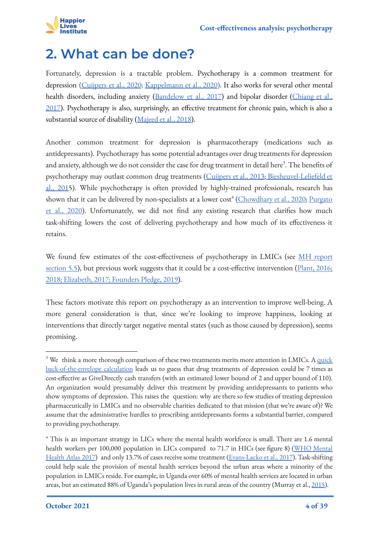

### <span id="page-3-0"></span>**2. What can be done?**

Fortunately, depression is a tractable problem. Psychotherapy is a common treatment for depression [\(Cuijpers et al., 2020](https://www.semanticscholar.org/paper/A-network-meta%E2%80%90analysis-of-the-effects-of-and-their-Cuijpers-Noma/f0dceeb9697c6efc0befb13d13afdec07baa7f3f); [Kappelmann et al., 2020](https://bmcmedicine.biomedcentral.com/articles/10.1186/s12916-020-01623-9)). It also works for several other mental health disorders, including anxiety ([Bandelow et al., 2017](https://www.ncbi.nlm.nih.gov/pmc/articles/PMC5573566/)) and bipolar disorder ([Chiang et al.,](https://journals.plos.org/plosone/article?id=10.1371/journal.pone.0176849) [2017](https://journals.plos.org/plosone/article?id=10.1371/journal.pone.0176849)). Psychotherapy is also, surprisingly, an effective treatment for chronic pain, which is also a substantial source of disability ([Majeed et al., 2018\)](https://journals.sagepub.com/doi/abs/10.1177/0091217418791447).

Another common treatment for depression is pharmacotherapy (medications such as antidepressants). Psychotherapy has some potential advantages over drug treatments for depression and anxiety, although we do not consider the case for drug treatment in detail here $^3$ . The benefits of psychotherapy may outlast common drug treatments [\(Cuijpers et al., 2013;](https://bmjopen.bmj.com/content/3/4/e002542.short) [Biesheuvel-Leliefeld et](https://pubmed.ncbi.nlm.nih.gov/25553400/) [al., 2015](https://pubmed.ncbi.nlm.nih.gov/25553400/)). While psychotherapy is often provided by highly-trained professionals, research has shown that it can be delivered by non-specialists at a lower cost<sup>4</sup> (<u>Chowdhary et al., 2020; [Purgato](https://www.cambridge.org/core/journals/epidemiology-and-psychiatric-sciences/article/promotion-prevention-and-treatment-interventions-for-mental-health-in-low-and-middleincome-countries-through-a-taskshifting-approach/55951A79185D86284E263328481C134D)</u> [et al., 2020\)](https://www.cambridge.org/core/journals/epidemiology-and-psychiatric-sciences/article/promotion-prevention-and-treatment-interventions-for-mental-health-in-low-and-middleincome-countries-through-a-taskshifting-approach/55951A79185D86284E263328481C134D). Unfortunately, we did not find any existing research that clarifies how much task-shifting lowers the cost of delivering psychotherapy and how much of its effectiveness it retains.

We found few estimates of the cost-effectiveness of psychotherapy in LMICs (see [MH report](https://docs.google.com/document/d/1sSDhUis8mQ3dJSY1NJ-t3oDzKmr2lgtGPF34bsEUE3w/edit#heading=h.r4pzrlfifux8) [section 5.5\)](https://docs.google.com/document/d/1sSDhUis8mQ3dJSY1NJ-t3oDzKmr2lgtGPF34bsEUE3w/edit#heading=h.r4pzrlfifux8), but previous work suggests that it could be a cost-effective intervention ([Plant, 2016](https://forum.effectivealtruism.org/posts/A278Run59FenZ4kae/is-effective-altruism-overlooking-human-happiness-and-mental); [2018](https://forum.effectivealtruism.org/posts/XWSTBBH8gSjiaNiy7/cause-profile-mental-health); [Elizabeth, 2017](https://forum.effectivealtruism.org/posts/if24DY4pW2FZPPT4G/mental-health-shallow-review); [Founders Pledge, 2019\)](https://founderspledge.com/research/fp-mental-health).

These factors motivate this report on psychotherapy as an intervention to improve well-being. A more general consideration is that, since we're looking to improve happiness, looking at interventions that directly target negative mental states (such as those caused by depression), seems promising.

 $3\text{ We think a more thorough comparison of these two treatments merits more attention in LMICs. A quick$  $3\text{ We think a more thorough comparison of these two treatments merits more attention in LMICs. A quick$ [back-of-the-envelope calculation](https://www.getguesstimate.com/models/19238) leads us to guess that drug treatments of depression could be 7 times as cost-effective as GiveDirectly cash transfers (with an estimated lower bound of 2 and upper bound of 110). An organization would presumably deliver this treatment by providing antidepressants to patients who show symptoms of depression. This raises the question: why are there so few studies of treating depression pharmaceutically in LMICs and no observable charities dedicated to that mission (that we're aware of)? We assume that the administrative hurdles to prescribing antidepressants forms a substantial barrier, compared to providing psychotherapy.

<sup>&</sup>lt;sup>4</sup> This is an important strategy in LICs where the mental health workforce is small. There are 1.6 mental health workers per 100,000 population in LICs compared to 71.7 in HICs (see figure 8) [\(WHO Mental](https://apps.who.int/iris/bitstream/handle/10665/272735/9789241514019-eng.pdf) [Health Atlas 2017](https://apps.who.int/iris/bitstream/handle/10665/272735/9789241514019-eng.pdf)) and only 13.7% of cases receive some treatment ([Evans-Lacko et al., 2017](https://www.cambridge.org/core/journals/psychological-medicine/article/abs/socioeconomic-variations-in-the-mental-health-treatment-gap-for-people-with-anxiety-mood-and-substance-use-disorders-results-from-the-who-world-mental-health-wmh-surveys/C63453B79C8A765299DD846C12430264)). Task-shifting could help scale the provision of mental health services beyond the urban areas where a minority of the population in LMICs reside. For example, in Uganda over 60% of mental health services are located in urban areas, but an estimated 88% of Uganda's population lives in rural areas of the country (Murray et al., [2015\)](https://www.tandfonline.com/doi/abs/10.3109/01612840.2015.1049311).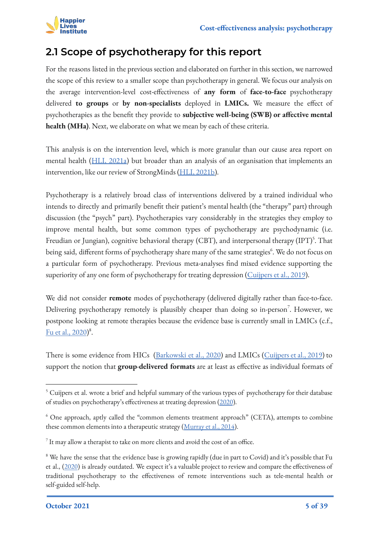

### <span id="page-4-0"></span>**2.1 Scope of psychotherapy for this report**

For the reasons listed in the previous section and elaborated on further in this section, we narrowed the scope of this review to a smaller scope than psychotherapy in general. We focus our analysis on the average intervention-level cost-effectiveness of **any form** of **face-to-face** psychotherapy delivered **to groups** or **by non-specialists** deployed in **LMICs.** We measure the effect of psychotherapies as the benefit they provide to **subjective well-being (SWB) or affective mental health (MHa)**. Next, we elaborate on what we mean by each of these criteria.

This analysis is on the intervention level, which is more granular than our cause area report on mental health ([HLI, 2021a](https://www.happierlivesinstitute.org/mental-health.html)) but broader than an analysis of an organisation that implements an intervention, like our review of StrongMinds [\(HLI, 2021b\)](https://www.happierlivesinstitute.org/strongminds-cea.html).

Psychotherapy is a relatively broad class of interventions delivered by a trained individual who intends to directly and primarily benefit their patient's mental health (the "therapy" part) through discussion (the "psych" part). Psychotherapies vary considerably in the strategies they employ to improve mental health, but some common types of psychotherapy are psychodynamic (i.e. Freudian or Jungian), cognitive behavioral therapy (CBT), and interpersonal therapy (IPT)<sup>5</sup>. That being said, different forms of psychotherapy share many of the same strategies<sup>6</sup>. We do not focus on a particular form of psychotherapy. Previous meta-analyses find mixed evidence supporting the superiority of any one form of psychotherapy for treating depression [\(Cuijpers et al., 2019](https://www.tandfonline.com/doi/full/10.1080/10503307.2019.1649732)).

We did not consider **remote** modes of psychotherapy (delivered digitally rather than face-to-face. Delivering psychotherapy remotely is plausibly cheaper than doing so in-person<sup>7</sup>. However, we postpone looking at remote therapies because the evidence base is currently small in LMICs (c.f., [Fu et al., 2020](https://www.sciencedirect.com/science/article/abs/pii/S221503662030256X))<sup>8</sup>.

There is some evidence from HICs [\(Barkowski et al., 2020](https://www.semanticscholar.org/paper/Efficacy-of-group-psychotherapy-for-anxiety-A-and-Barkowski-Schwartze/b289be976cc92e5a326a8b1decae3301a2e7584c)) and LMICs ([Cuijpers et al., 2019\)](https://onlinelibrary.wiley.com/doi/full/10.1002/wps.20493) to support the notion that **group**-**delivered formats** are at least as effective as individual formats of

<sup>&</sup>lt;sup>5</sup> Cuijpers et al. wrote a brief and helpful summary of the various types of psychotherapy for their database of studies on psychotherapy's effectiveness at treating depression [\(2020](https://evidencebasedpsychotherapies.shinyapps.io/metapsy/_w_03a872ab/psychotherapies.pdf)).

<sup>&</sup>lt;sup>6</sup> One approach, aptly called the "common elements treatment approach" (CETA), attempts to combine these common elements into a therapeutic strategy [\(Murray et al., 2014\)](https://www.sciencedirect.com/science/article/abs/pii/S107772291300062X?casa_token=-E2mvfxU2ywAAAAA:MxBboj1JliaGIMHzIc1xnotK3ckwMnmM1YKlc5f4l11xPyDsxTDzUuJ5FkTVgr7nusLYJLKR8wQ).

 $^7$  It may allow a therapist to take on more clients and avoid the cost of an office.

<sup>&</sup>lt;sup>8</sup> We have the sense that the evidence base is growing rapidly (due in part to Covid) and it's possible that Fu et al., [\(2020](https://www.sciencedirect.com/science/article/abs/pii/S221503662030256X)) is already outdated. We expect it's a valuable project to review and compare the effectiveness of traditional psychotherapy to the effectiveness of remote interventions such as tele-mental health or self-guided self-help.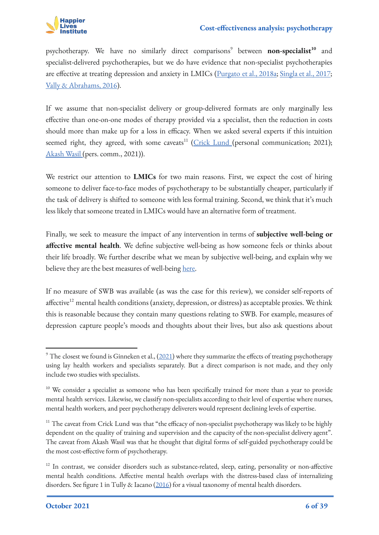

psychotherapy. We have no similarly direct comparisons<sup>9</sup> between **non-specialist<sup>10</sup>** and specialist-delivered psychotherapies, but we do have evidence that non-specialist psychotherapies are effective at treating depression and anxiety in LMICs [\(Purgato et al., 2018a](https://pubmed.ncbi.nlm.nih.gov/29975811/); [Singla et al., 2017;](https://www.annualreviews.org/doi/abs/10.1146/annurev-clinpsy-032816-045217) [Vally & Abrahams, 2016](https://link.springer.com/article/10.1007/s10447-016-9275-6)).

If we assume that non-specialist delivery or group-delivered formats are only marginally less effective than one-on-one modes of therapy provided via a specialist, then the reduction in costs should more than make up for a loss in efficacy. When we asked several experts if this intuition seemed right, they agreed, with some caveats<sup>11</sup> [\(Crick Lund](https://scholar.google.co.za/citations?user=nf0cwG0AAAAJ&hl=en) (personal communication; 2021); [Akash Wasil](https://akashwasil.wixsite.com/info) (pers. comm., 2021)).

We restrict our attention to **LMICs** for two main reasons. First, we expect the cost of hiring someone to deliver face-to-face modes of psychotherapy to be substantially cheaper, particularly if the task of delivery is shifted to someone with less formal training. Second, we think that it's much less likely that someone treated in LMICs would have an alternative form of treatment.

Finally, we seek to measure the impact of any intervention in terms of **subjective well-being or affective mental health**. We define subjective well-being as how someone feels or thinks about their life broadly. We further describe what we mean by subjective well-being, and explain why we believe they are the best measures of well-being [here.](https://www.happierlivesinstitute.org/measuring-happiness.html)

If no measure of SWB was available (as was the case for this review), we consider self-reports of affective<sup>12</sup> mental health conditions (anxiety, depression, or distress) as acceptable proxies. We think this is reasonable because they contain many questions relating to SWB. For example, measures of depression capture people's moods and thoughts about their lives, but also ask questions about

 $^9$  The closest we found is Ginneken et al., ([2021](https://www.cochranelibrary.com/cdsr/doi/10.1002/14651858.CD009149.pub3/epdf/full)) where they summarize the effects of treating psychotherapy using lay health workers and specialists separately. But a direct comparison is not made, and they only include two studies with specialists.

<sup>&</sup>lt;sup>10</sup> We consider a specialist as someone who has been specifically trained for more than a year to provide mental health services. Likewise, we classify non-specialists according to their level of expertise where nurses, mental health workers, and peer psychotherapy deliverers would represent declining levels of expertise.

<sup>&</sup>lt;sup>11</sup> The caveat from Crick Lund was that "the efficacy of non-specialist psychotherapy was likely to be highly dependent on the quality of training and supervision and the capacity of the non-specialist delivery agent". The caveat from Akash Wasil was that he thought that digital forms of self-guided psychotherapy could be the most cost-effective form of psychotherapy.

<sup>&</sup>lt;sup>12</sup> In contrast, we consider disorders such as substance-related, sleep, eating, personality or non-affective mental health conditions. Affective mental health overlaps with the distress-based class of internalizing disorders. See figure 1 in Tully & Iacano ([2016\)](https://www.semanticscholar.org/paper/An-Integrative-Common-Liabilities-Model-for-the-of-Tully-Iacono/72dd4d0a0d43ec858c7b8aefd63696e0d2a1c84e) for a visual taxonomy of mental health disorders.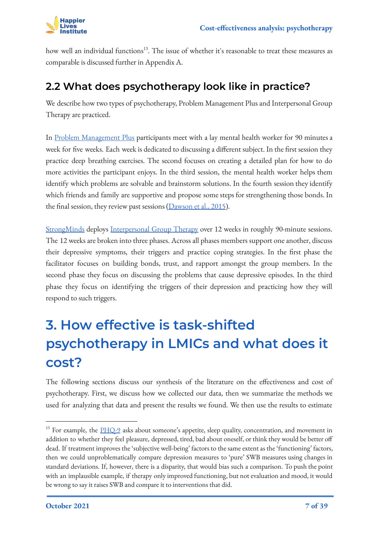how well an individual functions<sup>13</sup>. The issue of whether it's reasonable to treat these measures as comparable is discussed further in Appendix A.

### <span id="page-6-0"></span>**2.2 What does psychotherapy look like in practice?**

We describe how two types of psychotherapy, Problem Management Plus and Interpersonal Group Therapy are practiced.

In [Problem Management Plus](https://www.mhinnovation.net/innovations/problem-management-plus-pm) participants meet with a lay mental health worker for 90 minutes a week for five weeks. Each week is dedicated to discussing a different subject. In the first session they practice deep breathing exercises. The second focuses on creating a detailed plan for how to do more activities the participant enjoys. In the third session, the mental health worker helps them identify which problems are solvable and brainstorm solutions. In the fourth session they identify which friends and family are supportive and propose some steps for strengthening those bonds. In the final session, they review past sessions [\(Dawson et al., 2015](https://www.ncbi.nlm.nih.gov/pmc/articles/PMC4592660/)).

[StrongMinds](https://docs.google.com/document/d/1qzqWu85ApKQnrpIlNCahnmGX8xKy8RW_9rZ2ycGfPrI/edit#) deploys [Interpersonal Group Therapy](https://apps.who.int/iris/bitstream/handle/10665/250219/WHO-MSD-MER-16.4-eng.pdf) over 12 weeks in roughly 90-minute sessions. The 12 weeks are broken into three phases. Across all phases members support one another, discuss their depressive symptoms, their triggers and practice coping strategies. In the first phase the facilitator focuses on building bonds, trust, and rapport amongst the group members. In the second phase they focus on discussing the problems that cause depressive episodes. In the third phase they focus on identifying the triggers of their depression and practicing how they will respond to such triggers.

# **3. How effective is task-shifted psychotherapy in LMICs and what does it cost?**

<span id="page-6-1"></span>The following sections discuss our synthesis of the literature on the effectiveness and cost of psychotherapy. First, we discuss how we collected our data, then we summarize the methods we used for analyzing that data and present the results we found. We then use the results to estimate

<sup>&</sup>lt;sup>13</sup> For example, the [PHQ-9](https://patient.info/doctor/patient-health-questionnaire-phq-9) asks about someone's appetite, sleep quality, concentration, and movement in addition to whether they feel pleasure, depressed, tired, bad about oneself, or think they would be better off dead. If treatment improves the 'subjective well-being' factors to the same extent as the 'functioning' factors, then we could unproblematically compare depression measures to 'pure' SWB measures using changes in standard deviations. If, however, there is a disparity, that would bias such a comparison. To push the point with an implausible example, if therapy only improved functioning, but not evaluation and mood, it would be wrong to say it raises SWB and compare it to interventions that did.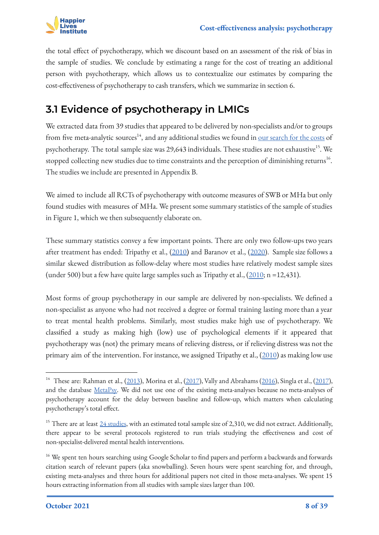

the total effect of psychotherapy, which we discount based on an assessment of the risk of bias in the sample of studies. We conclude by estimating a range for the cost of treating an additional person with psychotherapy, which allows us to contextualize our estimates by comparing the cost-effectiveness of psychotherapy to cash transfers, which we summarize in section 6.

### <span id="page-7-0"></span>**3.1 Evidence of psychotherapy in LMICs**

We extracted data from 39 studies that appeared to be delivered by non-specialists and/or to groups from five meta-analytic sources<sup>14</sup>, and any additional studies we found in <u>[our search for the costs](https://docs.google.com/spreadsheets/d/1j7odMDj_reHRzP0_6A4iA5s8yvPjlj5Pl6d2cKk86sw/edit#gid=896443586)</u> of psychotherapy. The total sample size was 29,643 individuals. These studies are not exhaustive<sup>15</sup>. We stopped collecting new studies due to time constraints and the perception of diminishing returns<sup>16</sup>. The studies we include are presented in Appendix B.

We aimed to include all RCTs of psychotherapy with outcome measures of SWB or MHa but only found studies with measures of MHa. We present some summary statistics of the sample of studies in Figure 1, which we then subsequently elaborate on.

These summary statistics convey a few important points. There are only two follow-ups two years after treatment has ended: Tripathy et al., [\(2010\)](https://www.thelancet.com/journals/lancet/article/PIIS0140-6736(09)62042-0/fulltext) and Baranov et al., ([2020\)](https://www.aeaweb.org/articles?id=10.1257/aer.20180511). Sample size follows a similar skewed distribution as follow-delay where most studies have relatively modest sample sizes (under 500) but a few have quite large samples such as Tripathy et al., [\(2010](https://www.thelancet.com/journals/lancet/article/PIIS0140-6736(09)62042-0/fulltext); n =12,431).

Most forms of group psychotherapy in our sample are delivered by non-specialists. We defined a non-specialist as anyone who had not received a degree or formal training lasting more than a year to treat mental health problems. Similarly, most studies make high use of psychotherapy. We classified a study as making high (low) use of psychological elements if it appeared that psychotherapy was (not) the primary means of relieving distress, or if relieving distress was not the primary aim of the intervention. For instance, we assigned Tripathy et al.,  $(2010)$  $(2010)$  as making low use

<sup>&</sup>lt;sup>14</sup> These are: Rahman et al., [\(2013](https://www.scielosp.org/article/bwho/2013.v91n8/593-601I/en/)), Morina et al., [\(2017](https://scholar.google.com/citations?view_op=view_citation&hl=en&user=IZ0u7aMAAAAJ&citation_for_view=IZ0u7aMAAAAJ:0EnyYjriUFMC)), Vally and Abrahams ([2016\)](https://link.springer.com/article/10.1007/s10447-016-9275-6), Singla et al., (2017), and the database [MetaPsy.](https://evidencebasedpsychotherapies.shinyapps.io/metapsy/) We did not use one of the existing meta-analyses because no meta-analyses of psychotherapy account for the delay between baseline and follow-up, which matters when calculating psychotherapy's total effect.

<sup>&</sup>lt;sup>15</sup> There are at least [24 studies](https://docs.google.com/spreadsheets/d/1jyi44_LxAxxuHoqWRDYjfG4I3qVabILDYOvRrjXol-k/edit#gid=674661976), with an estimated total sample size of 2,310, we did not extract. Additionally, there appear to be several protocols registered to run trials studying the effectiveness and cost of non-specialist-delivered mental health interventions.

<sup>&</sup>lt;sup>16</sup> We spent ten hours searching using Google Scholar to find papers and perform a backwards and forwards citation search of relevant papers (aka snowballing). Seven hours were spent searching for, and through, existing meta-analyses and three hours for additional papers not cited in those meta-analyses. We spent 15 hours extracting information from all studies with sample sizes larger than 100.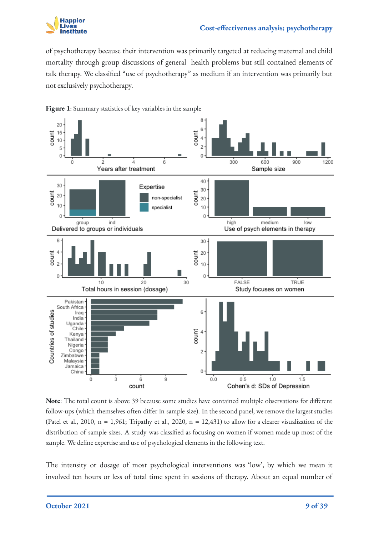

of psychotherapy because their intervention was primarily targeted at reducing maternal and child mortality through group discussions of general health problems but still contained elements of talk therapy. We classified "use of psychotherapy" as medium if an intervention was primarily but not exclusively psychotherapy.



**Figure 1**: Summary statistics of key variables in the sample

**Note**: The total count is above 39 because some studies have contained multiple observations for different follow-ups (which themselves often differ in sample size). In the second panel, we remove the largest studies (Patel et al., 2010,  $n = 1,961$ ; Tripathy et al., 2020,  $n = 12,431$ ) to allow for a clearer visualization of the distribution of sample sizes. A study was classified as focusing on women if women made up most of the sample. We define expertise and use of psychological elements in the following text.

The intensity or dosage of most psychological interventions was 'low', by which we mean it involved ten hours or less of total time spent in sessions of therapy. About an equal number of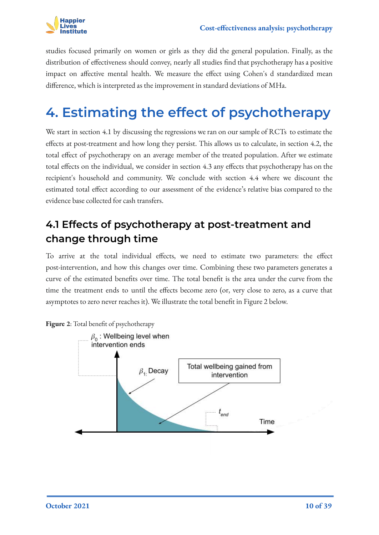

studies focused primarily on women or girls as they did the general population. Finally, as the distribution of effectiveness should convey, nearly all studies find that psychotherapy has a positive impact on affective mental health. We measure the effect using Cohen's d standardized mean difference, which is interpreted as the improvement in standard deviations of MHa.

## <span id="page-9-0"></span>**4. Estimating the effect of psychotherapy**

We start in section 4.1 by discussing the regressions we ran on our sample of RCTs to estimate the effects at post-treatment and how long they persist. This allows us to calculate, in section 4.2, the total effect of psychotherapy on an average member of the treated population. After we estimate total effects on the individual, we consider in section 4.3 any effects that psychotherapy has on the recipient's household and community. We conclude with section 4.4 where we discount the estimated total effect according to our assessment of the evidence's relative bias compared to the evidence base collected for cash transfers.

### <span id="page-9-1"></span>**4.1 Effects of psychotherapy at post-treatment and change through time**

To arrive at the total individual effects, we need to estimate two parameters: the effect post-intervention, and how this changes over time. Combining these two parameters generates a curve of the estimated benefits over time. The total benefit is the area under the curve from the time the treatment ends to until the effects become zero (or, very close to zero, as a curve that asymptotes to zero never reaches it). We illustrate the total benefit in Figure 2 below.

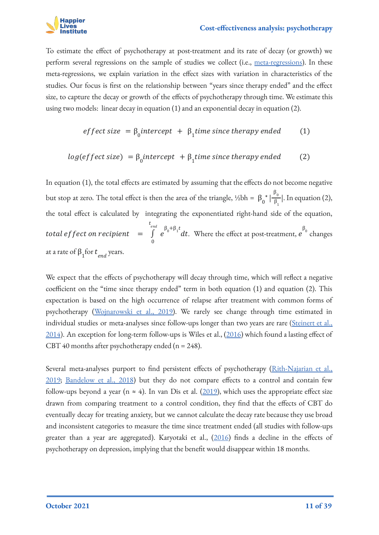

To estimate the effect of psychotherapy at post-treatment and its rate of decay (or growth) we perform several regressions on the sample of studies we collect (i.e., [meta-regressions](https://handbook-5-1.cochrane.org/chapter_9/9_6_4_meta_regression.htm)). In these meta-regressions, we explain variation in the effect sizes with variation in characteristics of the studies. Our focus is first on the relationship between "years since therapy ended" and the effect size, to capture the decay or growth of the effects of psychotherapy through time. We estimate this using two models: linear decay in equation (1) and an exponential decay in equation (2).

*effect size* = 
$$
\beta_0
$$
*intercept* +  $\beta_1$ *time since therapy ended* (1)

$$
log(effect size) = \beta_0 intercept + \beta_1 time since therapy ended (2)
$$

In equation (1), the total effects are estimated by assuming that the effects do not become negative but stop at zero. The total effect is then the area of the triangle, ½bh =  $\beta_0^* \left| \frac{P_0}{\beta_1} \right|$ . In equation (2),  $\beta_{0}$  $\beta_1$ the total effect is calculated by integrating the exponentiated right-hand side of the equation, total effect on recipient  $\quad = \quad \int \, \, e^{P_0 + P_1 t} dt.$  Where the effect at post-treatment,  $e^{P_0}$  changes 0  $\int\limits_0^{t_{end}} e^{\beta_0+\beta_1 t}dt$ . Where the effect at post-treatment,  $e^{\beta_0}$ at a rate of  $\beta_1$  for  $t_{end}$  years.

We expect that the effects of psychotherapy will decay through time, which will reflect a negative coefficient on the "time since therapy ended" term in both equation (1) and equation (2). This expectation is based on the high occurrence of relapse after treatment with common forms of psychotherapy [\(Wojnarowski et al., 2019\)](https://www.cambridge.org/core/journals/behavioural-and-cognitive-psychotherapy/article/abs/predictors-of-depression-relapse-and-recurrence-after-cognitive-behavioural-therapy-a-systematic-review-and-metaanalysis/653444A1EDC910538C898F11E381D7B0). We rarely see change through time estimated in individual studies or meta-analyses since follow-ups longer than two years are rare [\(Steinert et al.,](https://www.sciencedirect.com/science/article/abs/pii/S016503271400411X) [2014](https://www.sciencedirect.com/science/article/abs/pii/S016503271400411X)). An exception for long-term follow-ups is Wiles et al., ([2016\)](https://www.thelancet.com/journals/lanpsy/article/PIIS2215-0366(15)00495-2/fulltext) which found a lasting effect of CBT 40 months after psychotherapy ended ( $n = 248$ ).

Several meta-analyses purport to find persistent effects of psychotherapy (*Rith-Najarian et al.*, [2019](https://www.sciencedirect.com/science/article/abs/pii/S0005789418300650); [Bandelow et al., 2018\)](https://www.cambridge.org/core/journals/the-british-journal-of-psychiatry/article/enduring-effects-of-psychological-treatments-for-anxiety-disorders-metaanalysis-of-followup-studies/4D184AEB59A5573DFC7314CF001B23F4) but they do not compare effects to a control and contain few follow-ups beyond a year (n  $\approx$  4). In van Dis et al. [\(2019\)](https://jamanetwork.com/journals/jamapsychiatry/article-abstract/2756136), which uses the appropriate effect size drawn from comparing treatment to a control condition, they find that the effects of CBT do eventually decay for treating anxiety, but we cannot calculate the decay rate because they use broad and inconsistent categories to measure the time since treatment ended (all studies with follow-ups greater than a year are aggregated). Karyotaki et al., [\(2016](https://onlinelibrary.wiley.com/doi/abs/10.1002/da.22491)) finds a decline in the effects of psychotherapy on depression, implying that the benefit would disappear within 18 months.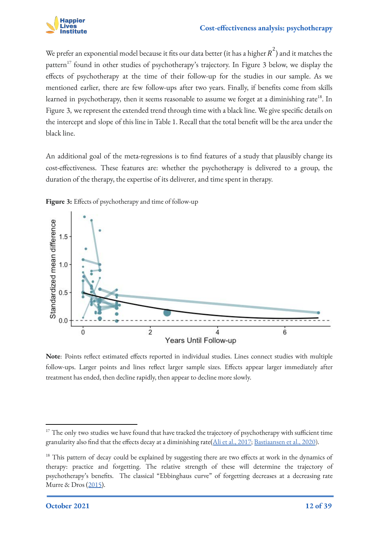

We prefer an exponential model because it fits our data better (it has a higher  $\overline{R}^2)$  and it matches the pattern<sup>17</sup> found in other studies of psychotherapy's trajectory. In Figure 3 below, we display the effects of psychotherapy at the time of their follow-up for the studies in our sample. As we mentioned earlier, there are few follow-ups after two years. Finally, if benefits come from skills learned in psychotherapy, then it seems reasonable to assume we forget at a diminishing rate<sup>18</sup>. In Figure 3, we represent the extended trend through time with a black line. We give specific details on the intercept and slope of this line in Table 1. Recall that the total benefit will be the area under the black line.

An additional goal of the meta-regressions is to find features of a study that plausibly change its cost-effectiveness. These features are: whether the psychotherapy is delivered to a group, the duration of the therapy, the expertise of its deliverer, and time spent in therapy.

**Figure 3:** Effects of psychotherapy and time of follow-up



**Note**: Points reflect estimated effects reported in individual studies. Lines connect studies with multiple follow-ups. Larger points and lines reflect larger sample sizes. Effects appear larger immediately after treatment has ended, then decline rapidly, then appear to decline more slowly.

<sup>&</sup>lt;sup>17</sup> The only two studies we have found that have tracked the trajectory of psychotherapy with sufficient time granularity also find that the effects decay at a diminishing rate([Ali et al., 2017](https://www.sciencedirect.com/science/article/abs/pii/S0005796717300840); [Bastiaansen et al., 2020](https://www.cambridge.org/core/journals/psychological-medicine/article/an-evaluation-of-the-efficacy-of-two-addon-ecological-momentary-intervention-modules-for-depression-in-a-pragmatic-randomized-controlled-trial-zelfi/01D099D952F5BA8B3364F9A96E5D23E5)).

<sup>&</sup>lt;sup>18</sup> This pattern of decay could be explained by suggesting there are two effects at work in the dynamics of therapy: practice and forgetting. The relative strength of these will determine the trajectory of psychotherapy's benefits. The classical "Ebbinghaus curve" of forgetting decreases at a decreasing rate Murre & Dros ([2015\)](https://journals.plos.org/plosone/article?id=10.1371/journal.pone.0120644).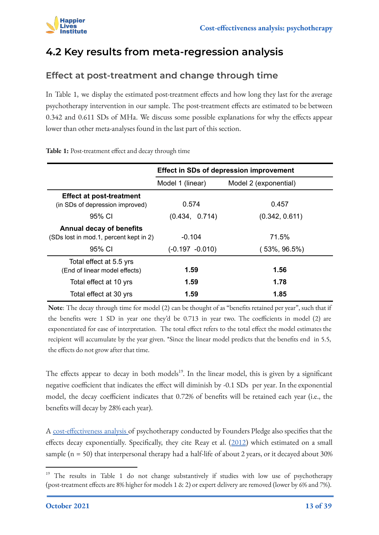

### <span id="page-12-0"></span>**4.2 Key results from meta-regression analysis**

#### **Effect at post-treatment and change through time**

In Table 1, we display the estimated post-treatment effects and how long they last for the average psychotherapy intervention in our sample. The post-treatment effects are estimated to be between 0.342 and 0.611 SDs of MHa. We discuss some possible explanations for why the effects appear lower than other meta-analyses found in the last part of this section.

|                                                                                     |                             | <b>Effect in SDs of depression improvement</b> |
|-------------------------------------------------------------------------------------|-----------------------------|------------------------------------------------|
|                                                                                     | Model 1 (linear)            | Model 2 (exponential)                          |
| <b>Effect at post-treatment</b><br>(in SDs of depression improved)                  | 0.574                       | 0.457                                          |
| 95% CI                                                                              | (0.434, 0.714)              | (0.342, 0.611)                                 |
| <b>Annual decay of benefits</b><br>(SDs lost in mod.1, percent kept in 2)<br>95% CI | $-0.104$<br>(-0.197 -0.010) | 71.5%<br>$(53\%, 96.5\%)$                      |
| Total effect at 5.5 yrs<br>(End of linear model effects)                            | 1.59                        | 1.56                                           |
| Total effect at 10 yrs                                                              | 1.59                        | 1.78                                           |
| Total effect at 30 yrs                                                              | 1.59                        | 1.85                                           |

**Table 1:** Post-treatment effect and decay through time

**Note**: The decay through time for model (2) can be thought of as "benefits retained per year", such that if the benefits were 1 SD in year one they'd be 0.713 in year two. The coefficients in model (2) are exponentiated for ease of interpretation. The total effect refers to the total effect the model estimates the recipient will accumulate by the year given. \*Since the linear model predicts that the benefits end in 5.5, the effects do not grow after that time.

The effects appear to decay in both models<sup>19</sup>. In the linear model, this is given by a significant negative coefficient that indicates the effect will diminish by -0.1 SDs per year. In the exponential model, the decay coefficient indicates that 0.72% of benefits will be retained each year (i.e., the benefits will decay by 28% each year).

A [cost-effectiveness analysis](https://founderspledge.com/stories/mental-health-report-summary) of psychotherapy conducted by Founders Pledge also specifies that the effects decay exponentially. Specifically, they cite Reay et al.  $(2012)$  $(2012)$  which estimated on a small sample (n = 50) that interpersonal therapy had a half-life of about 2 years, or it decayed about 30%

<sup>&</sup>lt;sup>19</sup> The results in Table 1 do not change substantively if studies with low use of psychotherapy (post-treatment effects are 8% higher for models 1 & 2) or expert delivery are removed (lower by 6% and 7%).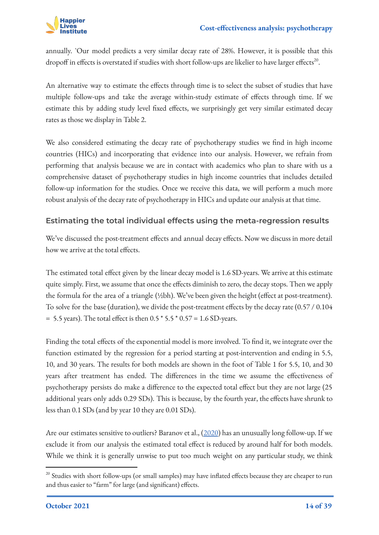

annually. `Our model predicts a very similar decay rate of 28%. However, it is possible that this dropoff in effects is overstated if studies with short follow-ups are likelier to have larger effects<sup>20</sup>.

An alternative way to estimate the effects through time is to select the subset of studies that have multiple follow-ups and take the average within-study estimate of effects through time. If we estimate this by adding study level fixed effects, we surprisingly get very similar estimated decay rates as those we display in Table 2.

We also considered estimating the decay rate of psychotherapy studies we find in high income countries (HICs) and incorporating that evidence into our analysis. However, we refrain from performing that analysis because we are in contact with academics who plan to share with us a comprehensive dataset of psychotherapy studies in high income countries that includes detailed follow-up information for the studies. Once we receive this data, we will perform a much more robust analysis of the decay rate of psychotherapy in HICs and update our analysis at that time.

#### **Estimating the total individual effects using the meta-regression results**

We've discussed the post-treatment effects and annual decay effects. Now we discuss in more detail how we arrive at the total effects.

The estimated total effect given by the linear decay model is 1.6 SD-years. We arrive at this estimate quite simply. First, we assume that once the effects diminish to zero, the decay stops. Then we apply the formula for the area of a triangle (½bh). We've been given the height (effect at post-treatment). To solve for the base (duration), we divide the post-treatment effects by the decay rate (0.57 / 0.104  $= 5.5$  years). The total effect is then  $0.5 * 5.5 * 0.57 = 1.6$  SD-years.

Finding the total effects of the exponential model is more involved. To find it, we integrate over the function estimated by the regression for a period starting at post-intervention and ending in 5.5, 10, and 30 years. The results for both models are shown in the foot of Table 1 for 5.5, 10, and 30 years after treatment has ended. The differences in the time we assume the effectiveness of psychotherapy persists do make a difference to the expected total effect but they are not large (25 additional years only adds 0.29 SDs). This is because, by the fourth year, the effects have shrunk to less than 0.1 SDs (and by year 10 they are 0.01 SDs).

Are our estimates sensitive to outliers? Baranov et al., [\(2020](https://www.aeaweb.org/articles?id=10.1257/aer.20180511)) has an unusually long follow-up. If we exclude it from our analysis the estimated total effect is reduced by around half for both models. While we think it is generally unwise to put too much weight on any particular study, we think

<sup>&</sup>lt;sup>20</sup> Studies with short follow-ups (or small samples) may have inflated effects because they are cheaper to run and thus easier to "farm" for large (and significant) effects.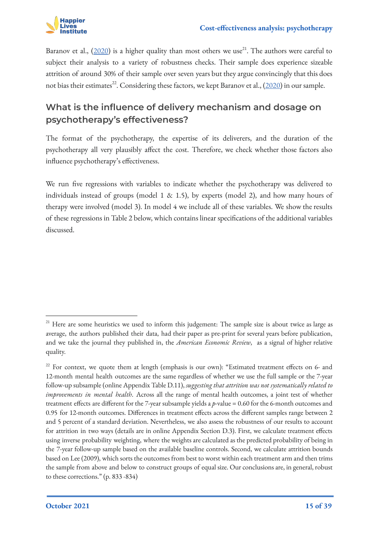

Baranov et al.,  $(2020)$  $(2020)$  is a higher quality than most others we use<sup>21</sup>. The authors were careful to subject their analysis to a variety of robustness checks. Their sample does experience sizeable attrition of around 30% of their sample over seven years but they argue convincingly that this does not bias their estimates<sup>22</sup>. Considering these factors, we kept Baranov et al.,  $(2020)$  in our sample.

#### **What is the influence of delivery mechanism and dosage on psychotherapy's effectiveness?**

The format of the psychotherapy, the expertise of its deliverers, and the duration of the psychotherapy all very plausibly affect the cost. Therefore, we check whether those factors also influence psychotherapy's effectiveness.

We run five regressions with variables to indicate whether the psychotherapy was delivered to individuals instead of groups (model 1 & 1.5), by experts (model 2), and how many hours of therapy were involved (model 3). In model 4 we include all of these variables. We show the results of these regressions in Table 2 below, which contains linear specifications of the additional variables discussed.

<sup>&</sup>lt;sup>21</sup> Here are some heuristics we used to inform this judgement: The sample size is about twice as large as average, the authors published their data, had their paper as pre-print for several years before publication, and we take the journal they published in, the *American Economic Review*, as a signal of higher relative quality.

<sup>&</sup>lt;sup>22</sup> For context, we quote them at length (emphasis is our own): "Estimated treatment effects on 6- and 12-month mental health outcomes are the same regardless of whether we use the full sample or the 7-year follow-up subsample (online Appendix Table D.11), *suggesting that attrition was not systematically related to improvements in mental health*. Across all the range of mental health outcomes, a joint test of whether treatment effects are different for the 7-year subsample yields a *p*-value = 0.60 for the 6-month outcomes and 0.95 for 12-month outcomes. Differences in treatment effects across the different samples range between 2 and 5 percent of a standard deviation. Nevertheless, we also assess the robustness of our results to account for attrition in two ways (details are in online Appendix Section D.3). First, we calculate treatment effects using inverse probability weighting, where the weights are calculated as the predicted probability of being in the 7-year follow-up sample based on the available baseline controls. Second, we calculate attrition bounds based on Lee (2009), which sorts the outcomes from best to worst within each treatment arm and then trims the sample from above and below to construct groups of equal size. Our conclusions are, in general, robust to these corrections." (p. 833 -834)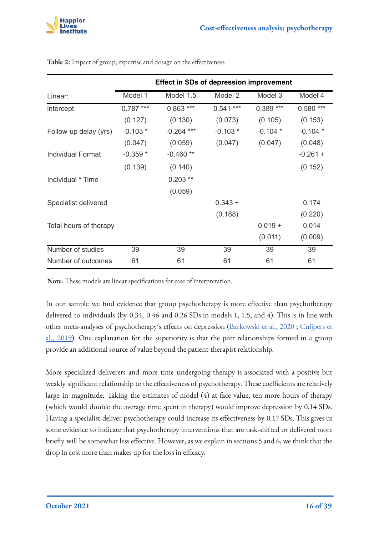|                          |            | <b>Effect in SDs of depression improvement</b> |            |            |            |
|--------------------------|------------|------------------------------------------------|------------|------------|------------|
| Linear:                  | Model 1    | Model 1.5                                      | Model 2    | Model 3    | Model 4    |
| intercept                | $0.787***$ | $0.863***$                                     | $0.541***$ | $0.389***$ | $0.580***$ |
|                          | (0.127)    | (0.130)                                        | (0.073)    | (0.105)    | (0.153)    |
| Follow-up delay (yrs)    | $-0.103*$  | $-0.264$ ***                                   | $-0.103*$  | $-0.104*$  | $-0.104*$  |
|                          | (0.047)    | (0.059)                                        | (0.047)    | (0.047)    | (0.048)    |
| <b>Individual Format</b> | $-0.359*$  | $-0.460**$                                     |            |            | $-0.261 +$ |
|                          | (0.139)    | (0.140)                                        |            |            | (0.152)    |
| Individual * Time        |            | $0.203**$                                      |            |            |            |
|                          |            | (0.059)                                        |            |            |            |
| Specialist delivered     |            |                                                | $0.343 +$  |            | 0.174      |
|                          |            |                                                | (0.188)    |            | (0.220)    |
| Total hours of therapy   |            |                                                |            | $0.019 +$  | 0.014      |
|                          |            |                                                |            | (0.011)    | (0.009)    |
| Number of studies        | 39         | 39                                             | 39         | 39         | 39         |
| Number of outcomes       | 61         | 61                                             | 61         | 61         | 61         |

**Table 2:** Impact of group, expertise and dosage on the effectiveness

**Note**: These models are linear specifications for ease of interpretation.

In our sample we find evidence that group psychotherapy is more effective than psychotherapy delivered to individuals (by 0.34, 0.46 and 0.26 SDs in models 1, 1.5, and 4). This is in line with other meta-analyses of psychotherapy's effects on depression ([Barkowski et al., 2020](https://www.semanticscholar.org/paper/Efficacy-of-group-psychotherapy-for-anxiety-A-and-Barkowski-Schwartze/b289be976cc92e5a326a8b1decae3301a2e7584c) ; [Cuijpers et](https://onlinelibrary.wiley.com/doi/full/10.1002/wps.20493) [al., 2019\)](https://onlinelibrary.wiley.com/doi/full/10.1002/wps.20493). One explanation for the superiority is that the peer relationships formed in a group provide an additional source of value beyond the patient-therapist relationship.

More specialized deliverers and more time undergoing therapy is associated with a positive but weakly significant relationship to the effectiveness of psychotherapy. These coefficients are relatively large in magnitude. Taking the estimates of model (4) at face value, ten more hours of therapy (which would double the average time spent in therapy) would improve depression by 0.14 SDs. Having a specialist deliver psychotherapy could increase its effectiveness by 0.17 SDs. This gives us some evidence to indicate that psychotherapy interventions that are task-shifted or delivered more briefly will be somewhat less effective. However, as we explain in sections 5 and 6, we think that the drop in cost more than makes up for the loss in efficacy.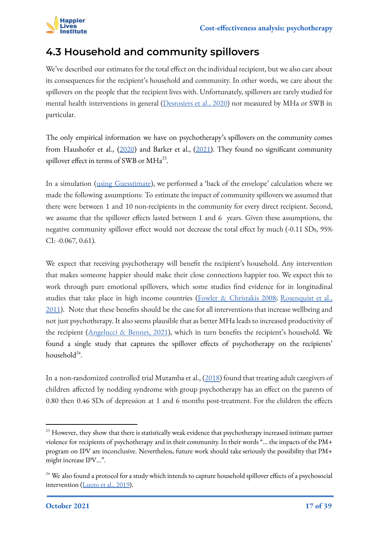

### <span id="page-16-0"></span>**4.3 Household and community spillovers**

We've described our estimates for the total effect on the individual recipient, but we also care about its consequences for the recipient's household and community. In other words, we care about the spillovers on the people that the recipient lives with. Unfortunately, spillovers are rarely studied for mental health interventions in general [\(Desrosiers et al., 2020\)](https://bmcpsychiatry.biomedcentral.com/articles/10.1186/s12888-020-02500-8) nor measured by MHa or SWB in particular.

The only empirical information we have on psychotherapy's spillovers on the community comes from Haushofer et al., [\(2020](https://www.nber.org/papers/w28106)) and Barker et al., ([2021](https://cpb-us-e1.wpmucdn.com/sites.northwestern.edu/dist/6/2076/files/2021/06/CBT.pdf)). They found no significant community spillover effect in terms of SWB or  $MHa^{23}$ .

In a simulation ([using Guesstimate](https://www.getguesstimate.com/models/19212)), we performed a 'back of the envelope' calculation where we made the following assumptions: To estimate the impact of community spillovers we assumed that there were between 1 and 10 non-recipients in the community for every direct recipient. Second, we assume that the spillover effects lasted between 1 and 6 years. Given these assumptions, the negative community spillover effect would not decrease the total effect by much (-0.11 SDs, 95% CI: -0.067, 0.61).

We expect that receiving psychotherapy will benefit the recipient's household. Any intervention that makes someone happier should make their close connections happier too. We expect this to work through pure emotional spillovers, which some studies find evidence for in longitudinal studies that take place in high income countries [\(Fowler & Christakis 2008](https://www.bmj.com/content/337/bmj.a2338+); [Rosenquist et al.,](https://www.nature.com/articles/mp201013.pdf) [2011](https://www.nature.com/articles/mp201013.pdf)). Note that these benefits should be the case for all interventions that increase wellbeing and not just psychotherapy. It also seems plausible that as better MHa leads to increased productivity of the recipient ([Angelucci & Bennet, 2021](https://ftp.iza.org/dp14393.pdf)), which in turn benefits the recipient's household. We found a single study that captures the spillover effects of psychotherapy on the recipients' household<sup>24</sup>.

In a non-randomized controlled trial Mutamba et al., [\(2018](https://www.ncbi.nlm.nih.gov/pmc/articles/PMC6093795/)) found that treating adult caregivers of children affected by nodding syndrome with group psychotherapy has an effect on the parents of 0.80 then 0.46 SDs of depression at 1 and 6 months post-treatment. For the children the effects

<sup>&</sup>lt;sup>23</sup> However, they show that there is statistically weak evidence that psychotherapy increased intimate partner violence for recipients of psychotherapy and in their community. In their words "... the impacts of the PM+ program on IPV are inconclusive. Nevertheless, future work should take seriously the possibility that PM+ might increase IPV…".

<sup>&</sup>lt;sup>24</sup> We also found a protocol for a study which intends to capture household spillover effects of a psychosocial intervention ([Luoto et al., 2019\)](https://pubmed.ncbi.nlm.nih.gov/30832624/).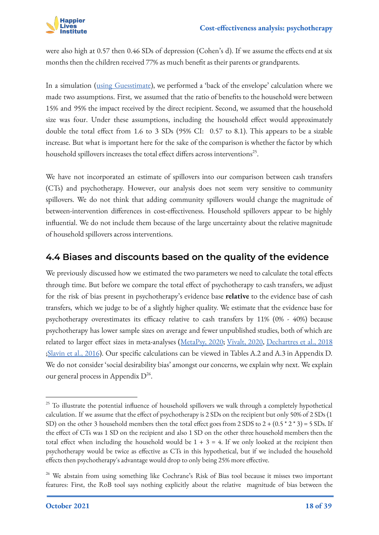

were also high at 0.57 then 0.46 SDs of depression (Cohen's d). If we assume the effects end at six months then the children received 77% as much benefit as their parents or grandparents.

In a simulation ([using Guesstimate](https://www.getguesstimate.com/models/19212)), we performed a 'back of the envelope' calculation where we made two assumptions. First, we assumed that the ratio of benefits to the household were between 15% and 95% the impact received by the direct recipient. Second, we assumed that the household size was four. Under these assumptions, including the household effect would approximately double the total effect from 1.6 to 3 SDs (95% CI: 0.57 to 8.1). This appears to be a sizable increase. But what is important here for the sake of the comparison is whether the factor by which household spillovers increases the total effect differs across interventions $^{25}$ .

We have not incorporated an estimate of spillovers into our comparison between cash transfers (CTs) and psychotherapy. However, our analysis does not seem very sensitive to community spillovers. We do not think that adding community spillovers would change the magnitude of between-intervention differences in cost-effectiveness. Household spillovers appear to be highly influential. We do not include them because of the large uncertainty about the relative magnitude of household spillovers across interventions.

#### <span id="page-17-0"></span>**4.4 Biases and discounts based on the quality of the evidence**

We previously discussed how we estimated the two parameters we need to calculate the total effects through time. But before we compare the total effect of psychotherapy to cash transfers, we adjust for the risk of bias present in psychotherapy's evidence base **relative** to the evidence base of cash transfers, which we judge to be of a slightly higher quality. We estimate that the evidence base for psychotherapy overestimates its efficacy relative to cash transfers by 11% (0% - 40%) because psychotherapy has lower sample sizes on average and fewer unpublished studies, both of which are related to larger effect sizes in meta-analyses ([MetaPsy, 2020](https://evidencebasedpsychotherapies.shinyapps.io/metapsy/); [Vivalt, 2020](https://academic.oup.com/jeea/article-abstract/18/6/3045/5908781), [Dechartres et al., 2018](https://www.acpjournals.org/doi/abs/10.7326/M18-1517) ;[Slavin et al., 2016](https://journals.sagepub.com/doi/abs/10.3102/0013189X16656615)). Our specific calculations can be viewed in Tables A.2 and A.3 in Appendix D. We do not consider 'social desirability bias' amongst our concerns, we explain why next. We explain our general process in Appendix  $D^{26}$ .

<sup>&</sup>lt;sup>25</sup> To illustrate the potential influence of household spillovers we walk through a completely hypothetical calculation. If we assume that the effect of psychotherapy is 2 SDs on the recipient but only 50% of 2 SDs (1 SD) on the other 3 household members then the total effect goes from  $2$  SDS to  $2 + (0.5 * 2 * 3) = 5$  SDs. If the effect of CTs was 1 SD on the recipient and also 1 SD on the other three household members then the total effect when including the household would be  $1 + 3 = 4$ . If we only looked at the recipient then psychotherapy would be twice as effective as CTs in this hypothetical, but if we included the household effects then psychotherapy's advantage would drop to only being 25% more effective.

<sup>&</sup>lt;sup>26</sup> We abstain from using something like Cochrane's Risk of Bias tool because it misses two important features: First, the RoB tool says nothing explicitly about the relative magnitude of bias between the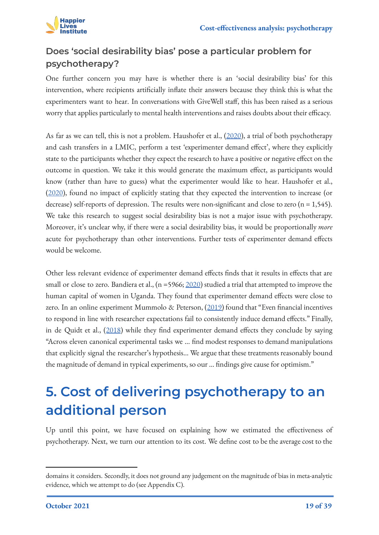

#### **Does 'social desirability bias' pose a particular problem for psychotherapy?**

One further concern you may have is whether there is an 'social desirability bias' for this intervention, where recipients artificially inflate their answers because they think this is what the experimenters want to hear. In conversations with GiveWell staff, this has been raised as a serious worry that applies particularly to mental health interventions and raises doubts about their efficacy.

As far as we can tell, this is not a problem. Haushofer et al., [\(2020](https://www.nber.org/papers/w28106)), a trial of both psychotherapy and cash transfers in a LMIC, perform a test 'experimenter demand effect', where they explicitly state to the participants whether they expect the research to have a positive or negative effect on the outcome in question. We take it this would generate the maximum effect, as participants would know (rather than have to guess) what the experimenter would like to hear. Haushofer et al., ([2020\)](https://www.nber.org/papers/w28106), found no impact of explicitly stating that they expected the intervention to increase (or decrease) self-reports of depression. The results were non-significant and close to zero (n = 1,545). We take this research to suggest social desirability bias is not a major issue with psychotherapy. Moreover, it's unclear why, if there were a social desirability bias, it would be proportionally *more* acute for psychotherapy than other interventions. Further tests of experimenter demand effects would be welcome.

Other less relevant evidence of experimenter demand effects finds that it results in effects that are small or close to zero. Bandiera et al.,  $(n = 5966; \frac{2020}{n})$  $(n = 5966; \frac{2020}{n})$  $(n = 5966; \frac{2020}{n})$  studied a trial that attempted to improve the human capital of women in Uganda. They found that experimenter demand effects were close to zero. In an online experiment Mummolo & Peterson, ([2019\)](https://www.semanticscholar.org/paper/Demand-Effects-in-Survey-Experiments%3A-An-Empirical-Mummolo-Peterson/441c602068ed3a67262c07ff089d83bd6481044b) found that "Even financial incentives to respond in line with researcher expectations fail to consistently induce demand effects." Finally, in de Quidt et al., ([2018\)](https://www.semanticscholar.org/paper/Measuring-and-Bounding-Experimenter-Demand-Quidt-Haushofer/9f84b7fa1e9c9d6b403cb6f48d71eefe8dbbf1b0) while they find experimenter demand effects they conclude by saying "Across eleven canonical experimental tasks we … find modest responses to demand manipulations that explicitly signal the researcher's hypothesis… We argue that these treatments reasonably bound the magnitude of demand in typical experiments, so our … findings give cause for optimism."

## <span id="page-18-0"></span>**5. Cost of delivering psychotherapy to an additional person**

Up until this point, we have focused on explaining how we estimated the effectiveness of psychotherapy. Next, we turn our attention to its cost. We define cost to be the average cost to the

domains it considers. Secondly, it does not ground any judgement on the magnitude of bias in meta-analytic evidence, which we attempt to do (see Appendix C).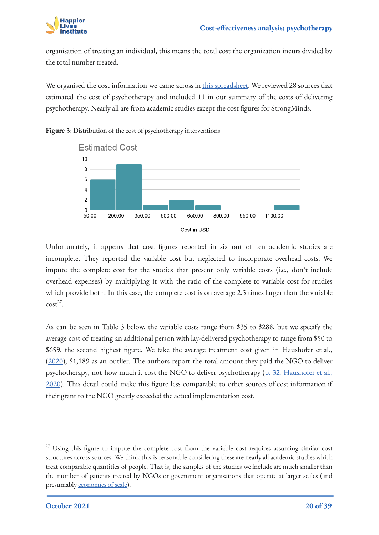

organisation of treating an individual, this means the total cost the organization incurs divided by the total number treated.

We organised the cost information we came across in [this spreadsheet](https://docs.google.com/spreadsheets/d/1j7odMDj_reHRzP0_6A4iA5s8yvPjlj5Pl6d2cKk86sw/edit#gid=1931536205). We reviewed 28 sources that estimated the cost of psychotherapy and included 11 in our summary of the costs of delivering psychotherapy. Nearly all are from academic studies except the cost figures for StrongMinds.



**Figure 3**: Distribution of the cost of psychotherapy interventions

Unfortunately, it appears that cost figures reported in six out of ten academic studies are incomplete. They reported the variable cost but neglected to incorporate overhead costs. We impute the complete cost for the studies that present only variable costs (i.e., don't include overhead expenses) by multiplying it with the ratio of the complete to variable cost for studies which provide both. In this case, the complete cost is on average 2.5 times larger than the variable  $\cot^{27}$ .

As can be seen in Table 3 below, the variable costs range from \$35 to \$288, but we specify the average cost of treating an additional person with lay-delivered psychotherapy to range from \$50 to \$659, the second highest figure. We take the average treatment cost given in Haushofer et al., ([2020\)](https://www.nber.org/papers/w28106), \$1,189 as an outlier. The authors report the total amount they paid the NGO to deliver psychotherapy, not how much it cost the NGO to deliver psychotherapy (p. 32, [Haushofer et al.,](https://www.nber.org/papers/w28106) [2020](https://www.nber.org/papers/w28106)). This detail could make this figure less comparable to other sources of cost information if their grant to the NGO greatly exceeded the actual implementation cost.

 $27$  Using this figure to impute the complete cost from the variable cost requires assuming similar cost structures across sources. We think this is reasonable considering these are nearly all academic studies which treat comparable quantities of people. That is, the samples of the studies we include are much smaller than the number of patients treated by NGOs or government organisations that operate at larger scales (and presumably [economies of scale\)](https://en.wikipedia.org/wiki/Economies_of_scale).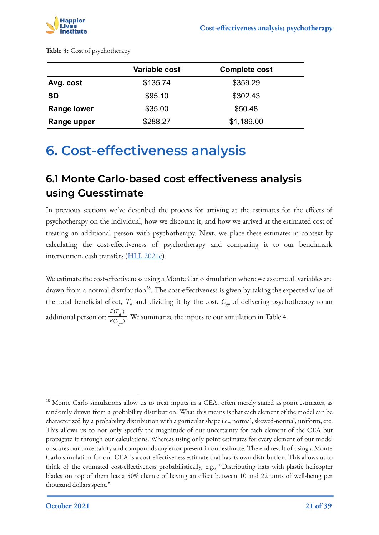

|             | Variable cost | <b>Complete cost</b> |
|-------------|---------------|----------------------|
| Avg. cost   | \$135.74      | \$359.29             |
| <b>SD</b>   | \$95.10       | \$302.43             |
| Range lower | \$35.00       | \$50.48              |
| Range upper | \$288.27      | \$1,189.00           |

### <span id="page-20-0"></span>**6. Cost-effectiveness analysis**

### <span id="page-20-1"></span>**6.1 Monte Carlo-based cost effectiveness analysis using Guesstimate**

In previous sections we've described the process for arriving at the estimates for the effects of psychotherapy on the individual, how we discount it, and how we arrived at the estimated cost of treating an additional person with psychotherapy. Next, we place these estimates in context by calculating the cost-effectiveness of psychotherapy and comparing it to our benchmark intervention, cash transfers ([HLI, 2021c\)](https://www.happierlivesinstitute.org/cash-transfers-cea.html).

We estimate the cost-effectiveness using a Monte Carlo simulation where we assume all variables are drawn from a normal distribution<sup>28</sup>. The cost-effectiveness is given by taking the expected value of the total beneficial effect,  $T_d$  and dividing it by the cost,  $C_{pp}$  of delivering psychotherapy to an additional person or:  $\frac{E(T_d)}{E(C)}$ . We summarize the inputs to our simulation in Table 4.  $E(C_{pp})$ 

<sup>&</sup>lt;sup>28</sup> Monte Carlo simulations allow us to treat inputs in a CEA, often merely stated as point estimates, as randomly drawn from a probability distribution. What this means is that each element of the model can be characterized by a probability distribution with a particular shape i.e., normal, skewed-normal, uniform, etc. This allows us to not only specify the magnitude of our uncertainty for each element of the CEA but propagate it through our calculations. Whereas using only point estimates for every element of our model obscures our uncertainty and compounds any error present in our estimate. The end result of using a Monte Carlo simulation for our CEA is a cost-effectiveness estimate that has its own distribution. This allows us to think of the estimated cost-effectiveness probabilistically, e.g., "Distributing hats with plastic helicopter blades on top of them has a 50% chance of having an effect between 10 and 22 units of well-being per thousand dollars spent."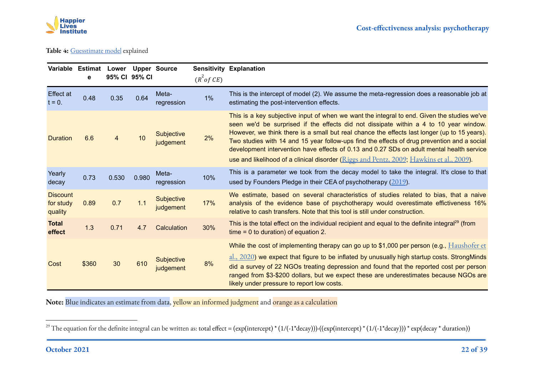

#### **Table 4:** [Guesstimate model](https://www.getguesstimate.com/models/17727) explained

|                                         | Variable Estimat Lower Upper Source<br>e |       | 95% CI 95% CI |                                | $(R^2$ of CE) | <b>Sensitivity Explanation</b>                                                                                                                                                                                                                                                                                                                                                                                                                                                                                                                                               |
|-----------------------------------------|------------------------------------------|-------|---------------|--------------------------------|---------------|------------------------------------------------------------------------------------------------------------------------------------------------------------------------------------------------------------------------------------------------------------------------------------------------------------------------------------------------------------------------------------------------------------------------------------------------------------------------------------------------------------------------------------------------------------------------------|
| <b>Effect at</b><br>$t = 0.$            | 0.48                                     | 0.35  | 0.64          | Meta-<br>regression            | 1%            | This is the intercept of model (2). We assume the meta-regression does a reasonable job at<br>estimating the post-intervention effects.                                                                                                                                                                                                                                                                                                                                                                                                                                      |
| <b>Duration</b>                         | 6.6                                      | 4     | 10            | <b>Subjective</b><br>judgement | 2%            | This is a key subjective input of when we want the integral to end. Given the studies we've<br>seen we'd be surprised if the effects did not dissipate within a 4 to 10 year window.<br>However, we think there is a small but real chance the effects last longer (up to 15 years).<br>Two studies with 14 and 15 year follow-ups find the effects of drug prevention and a social<br>development intervention have effects of 0.13 and 0.27 SDs on adult mental health service<br>use and likelihood of a clinical disorder (Riggs and Pentz, 2009; Hawkins et al., 2009). |
| Yearly<br>decay                         | 0.73                                     | 0.530 | 0.980         | Meta-<br>regression            | 10%           | This is a parameter we took from the decay model to take the integral. It's close to that<br>used by Founders Pledge in their CEA of psychotherapy $(2019)$ .                                                                                                                                                                                                                                                                                                                                                                                                                |
| <b>Discount</b><br>for study<br>quality | 0.89                                     | 0.7   | 1.1           | Subjective<br>judgement        | 17%           | We estimate, based on several characteristics of studies related to bias, that a naive<br>analysis of the evidence base of psychotherapy would overestimate effictiveness 16%<br>relative to cash transfers. Note that this tool is still under construction.                                                                                                                                                                                                                                                                                                                |
| <b>Total</b><br>effect                  | 1.3                                      | 0.71  | 4.7           | Calculation                    | 30%           | This is the total effect on the individual recipient and equal to the definite integral <sup>29</sup> (from<br>$time = 0$ to duration) of equation 2.                                                                                                                                                                                                                                                                                                                                                                                                                        |
| Cost                                    | \$360                                    | 30    | 610           | <b>Subjective</b><br>judgement | 8%            | While the cost of implementing therapy can go up to \$1,000 per person (e.g., $Haushofer et$<br>$\frac{1}{2}$ , $\frac{2020}{2}$ we expect that figure to be inflated by unusually high startup costs. Strong Minds<br>did a survey of 22 NGOs treating depression and found that the reported cost per person<br>ranged from \$3-\$200 dollars, but we expect these are underestimates because NGOs are<br>likely under pressure to report low costs.                                                                                                                       |

**Note:** Blue indicates an estimate from data, yellow an informed judgment and orange as a calculation

<sup>&</sup>lt;sup>29</sup> The equation for the definite integral can be written as: total effect = (exp(intercept) \* (1/(-1\*decay)))-((exp(intercept) \* (1/(-1\*decay))) \* exp(decay \* duration))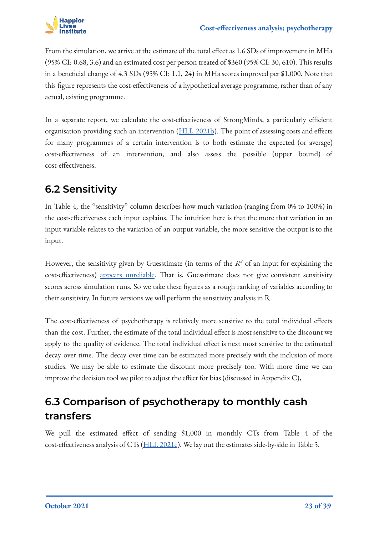

From the simulation, we arrive at the estimate of the total effect as 1.6 SDs of improvement in MHa (95% CI: 0.68, 3.6) and an estimated cost per person treated of \$360 (95% CI: 30, 610). This results in a beneficial change of 4.3 SDs (95% CI: 1.1, 24) in MHa scores improved per \$1,000. Note that this figure represents the cost-effectiveness of a hypothetical average programme, rather than of any actual, existing programme.

In a separate report, we calculate the cost-effectiveness of StrongMinds, a particularly efficient organisation providing such an intervention [\(HLI, 2021b](https://www.happierlivesinstitute.org/strongminds-cea.html)). The point of assessing costs and effects for many programmes of a certain intervention is to both estimate the expected (or average) cost-effectiveness of an intervention, and also assess the possible (upper bound) of cost-effectiveness.

### <span id="page-22-0"></span>**6.2 Sensitivity**

In Table 4, the "sensitivity" column describes how much variation (ranging from 0% to 100%) in the cost-effectiveness each input explains. The intuition here is that the more that variation in an input variable relates to the variation of an output variable, the more sensitive the output is to the input.

However, the sensitivity given by Guesstimate (in terms of the  $R^2$  of an input for explaining the cost-effectiveness) [appears unreliable.](https://docs.google.com/spreadsheets/d/1XST0XrSra8ir32t9QT2aLpuMSOZYdzbhg418GzbNjHM/edit#gid=1246982502) That is, Guesstimate does not give consistent sensitivity scores across simulation runs. So we take these figures as a rough ranking of variables according to their sensitivity. In future versions we will perform the sensitivity analysis in R.

The cost-effectiveness of psychotherapy is relatively more sensitive to the total individual effects than the cost. Further, the estimate of the total individual effect is most sensitive to the discount we apply to the quality of evidence. The total individual effect is next most sensitive to the estimated decay over time. The decay over time can be estimated more precisely with the inclusion of more studies. We may be able to estimate the discount more precisely too. With more time we can improve the decision tool we pilot to adjust the effect for bias (discussed in Appendix C)**.**

### <span id="page-22-1"></span>**6.3 Comparison of psychotherapy to monthly cash transfers**

We pull the estimated effect of sending \$1,000 in monthly CTs from Table 4 of the cost-effectiveness analysis of CTs [\(HLI, 2021c](https://docs.google.com/document/d/15kak8UtR7-sWct7ehBVHsCW20ksR3K_jjEyC3RsRWqU/edit?usp=sharing)). We lay out the estimates side-by-side in Table 5.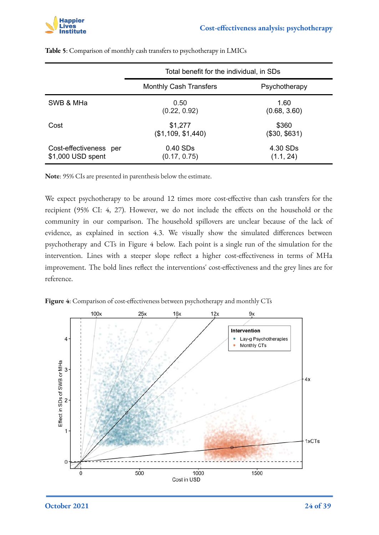

|                                             | Total benefit for the individual, in SDs |                        |
|---------------------------------------------|------------------------------------------|------------------------|
|                                             | <b>Monthly Cash Transfers</b>            | Psychotherapy          |
| SWB & MHa                                   | 0.50<br>(0.22, 0.92)                     | 1.60<br>(0.68, 3.60)   |
| Cost                                        | \$1,277<br>(\$1,109, \$1,440)            | \$360<br>(\$30, \$631) |
| Cost-effectiveness per<br>\$1,000 USD spent | 0.40 SDs<br>(0.17, 0.75)                 | 4.30 SDs<br>(1.1, 24)  |

**Table 5**: Comparison of monthly cash transfers to psychotherapy in LMICs

**Note**: 95% CIs are presented in parenthesis below the estimate.

We expect psychotherapy to be around 12 times more cost-effective than cash transfers for the recipient (95% CI: 4, 27). However, we do not include the effects on the household or the community in our comparison. The household spillovers are unclear because of the lack of evidence, as explained in section 4.3. We visually show the simulated differences between psychotherapy and CTs in Figure 4 below. Each point is a single run of the simulation for the intervention. Lines with a steeper slope reflect a higher cost-effectiveness in terms of MHa improvement. The bold lines reflect the interventions' cost-effectiveness and the grey lines are for reference.



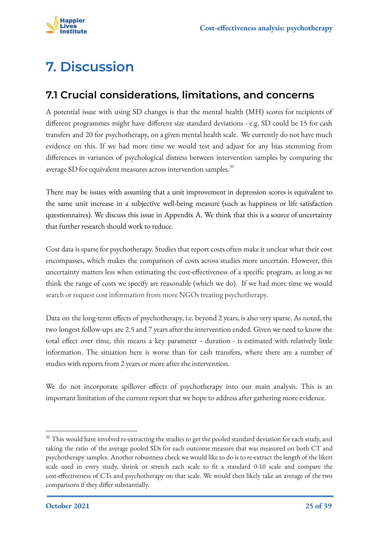

# <span id="page-24-0"></span>**7. Discussion**

### <span id="page-24-1"></span>**7.1 Crucial considerations, limitations, and concerns**

A potential issue with using SD changes is that the mental health (MH) scores for recipients of different programmes might have different size standard deviations - e.g. SD could be 15 for cash transfers and 20 for psychotherapy, on a given mental health scale. We currently do not have much evidence on this. If we had more time we would test and adjust for any bias stemming from differences in variances of psychological distress between intervention samples by comparing the average SD for equivalent measures across intervention samples.<sup>30</sup>

There may be issues with assuming that a unit improvement in depression scores is equivalent to the same unit increase in a subjective well-being measure (such as happiness or life satisfaction questionnaires). We discuss this issue in Appendix A. We think that this is a source of uncertainty that further research should work to reduce.

Cost data is sparse for psychotherapy. Studies that report costs often make it unclear what their cost encompasses, which makes the comparison of costs across studies more uncertain. However, this uncertainty matters less when estimating the cost-effectiveness of a specific program, as long as we think the range of costs we specify are reasonable (which we do). If we had more time we would search or request cost information from more NGOs treating psychotherapy.

Data on the long-term effects of psychotherapy, i.e. beyond 2 years, is also very sparse. As noted, the two longest follow-ups are 2.5 and 7 years after the intervention ended. Given we need to know the total effect over time, this means a key parameter - duration - is estimated with relatively little information. The situation here is worse than for cash transfers, where there are a number of studies with reports from 2 years or more after the intervention.

We do not incorporate spillover effects of psychotherapy into our main analysis. This is an important limitation of the current report that we hope to address after gathering more evidence.

<sup>&</sup>lt;sup>30</sup> This would have involved re-extracting the studies to get the pooled standard deviation for each study, and taking the ratio of the average pooled SDs for each outcome measure that was measured on both CT and psychotherapy samples. Another robustness check we would like to do is to re-extract the length of the likert scale used in every study, shrink or stretch each scale to fit a standard 0-10 scale and compare the cost-effectiveness of CTs and psychotherapy on that scale. We would then likely take an average of the two comparisons if they differ substantially.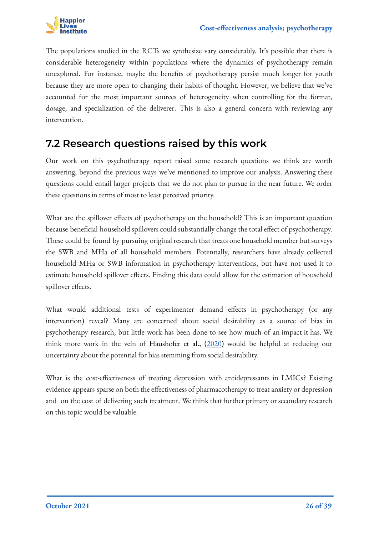

The populations studied in the RCTs we synthesize vary considerably. It's possible that there is considerable heterogeneity within populations where the dynamics of psychotherapy remain unexplored. For instance, maybe the benefits of psychotherapy persist much longer for youth because they are more open to changing their habits of thought. However, we believe that we've accounted for the most important sources of heterogeneity when controlling for the format, dosage, and specialization of the deliverer. This is also a general concern with reviewing any intervention.

#### <span id="page-25-0"></span>**7.2 Research questions raised by this work**

Our work on this psychotherapy report raised some research questions we think are worth answering, beyond the previous ways we've mentioned to improve our analysis. Answering these questions could entail larger projects that we do not plan to pursue in the near future. We order these questions in terms of most to least perceived priority.

What are the spillover effects of psychotherapy on the household? This is an important question because beneficial household spillovers could substantially change the total effect of psychotherapy. These could be found by pursuing original research that treats one household member but surveys the SWB and MHa of all household members. Potentially, researchers have already collected household MHa or SWB information in psychotherapy interventions, but have not used it to estimate household spillover effects. Finding this data could allow for the estimation of household spillover effects.

What would additional tests of experimenter demand effects in psychotherapy (or any intervention) reveal? Many are concerned about social desirability as a source of bias in psychotherapy research, but little work has been done to see how much of an impact it has. We think more work in the vein of Haushofer et al., [\(2020](https://www.nber.org/papers/w28106)) would be helpful at reducing our uncertainty about the potential for bias stemming from social desirability.

What is the cost-effectiveness of treating depression with antidepressants in LMICs? Existing evidence appears sparse on both the effectiveness of pharmacotherapy to treat anxiety or depression and on the cost of delivering such treatment. We think that further primary or secondary research on this topic would be valuable.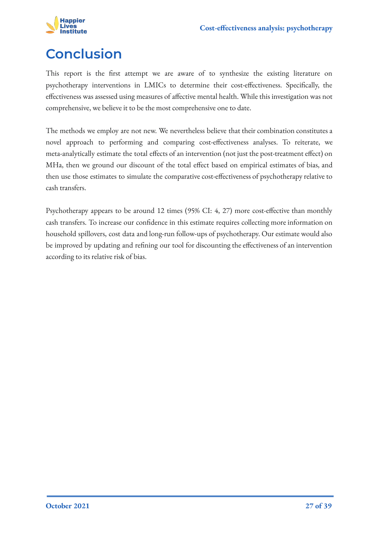

## <span id="page-26-0"></span>**Conclusion**

This report is the first attempt we are aware of to synthesize the existing literature on psychotherapy interventions in LMICs to determine their cost-effectiveness. Specifically, the effectiveness was assessed using measures of affective mental health. While this investigation was not comprehensive, we believe it to be the most comprehensive one to date.

The methods we employ are not new. We nevertheless believe that their combination constitutes a novel approach to performing and comparing cost-effectiveness analyses. To reiterate, we meta-analytically estimate the total effects of an intervention (not just the post-treatment effect) on MHa, then we ground our discount of the total effect based on empirical estimates of bias, and then use those estimates to simulate the comparative cost-effectiveness of psychotherapy relative to cash transfers.

Psychotherapy appears to be around 12 times (95% CI: 4, 27) more cost-effective than monthly cash transfers. To increase our confidence in this estimate requires collecting more information on household spillovers, cost data and long-run follow-ups of psychotherapy. Our estimate would also be improved by updating and refining our tool for discounting the effectiveness of an intervention according to its relative risk of bias.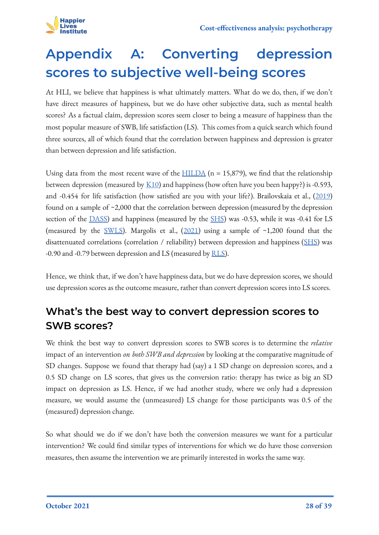

# <span id="page-27-0"></span>**Appendix A: Converting depression scores to subjective well-being scores**

At HLI, we believe that happiness is what ultimately matters. What do we do, then, if we don't have direct measures of happiness, but we do have other subjective data, such as mental health scores? As a factual claim, depression scores seem closer to being a measure of happiness than the most popular measure of SWB, life satisfaction (LS). This comes from a quick search which found three sources, all of which found that the correlation between happiness and depression is greater than between depression and life satisfaction.

Using data from the most recent wave of the  $HILDA$  (n = 15,879), we find that the relationship between depression (measured by  $\underline{K10}$ ) and happiness (how often have you been happy?) is -0.593, and -0.454 for life satisfaction (how satisfied are you with your life?). Brailovskaia et al., [\(2019](https://link.springer.com/article/10.1007/s12144-017-9627-3)) found on a sample of ~2,000 that the correlation between depression (measured by the depression section of the [DASS\)](https://www.psytoolkit.org/survey-library/depression-anxiety-stress-dass.html) and happiness (measured by the [SHS](http://sonjalyubomirsky.com/subjective-happiness-scale-shs/)) was -0.53, while it was -0.41 for LS (measured by the [SWLS\)](https://fetzer.org/sites/default/files/images/stories/pdf/selfmeasures/SATISFACTION-SatisfactionWithLife.pdf). Margolis et al.,  $(2021)$  $(2021)$  using a sample of ~1,200 found that the disattenuated correlations (correlation / reliability) between depression and happiness [\(SHS\)](http://sonjalyubomirsky.com/subjective-happiness-scale-shs/) was -0.90 and -0.79 between depression and LS (measured by [RLS\)](https://escholarship.org/content/qt99q2717f/qt99q2717f.pdf?t=p94n23).

Hence, we think that, if we don't have happiness data, but we do have depression scores, we should use depression scores as the outcome measure, rather than convert depression scores into LS scores.

### **What's the best way to convert depression scores to SWB scores?**

We think the best way to convert depression scores to SWB scores is to determine the *relative* impact of an intervention *on both SWB and depression* by looking at the comparative magnitude of SD changes. Suppose we found that therapy had (say) a 1 SD change on depression scores, and a 0.5 SD change on LS scores, that gives us the conversion ratio: therapy has twice as big an SD impact on depression as LS. Hence, if we had another study, where we only had a depression measure, we would assume the (unmeasured) LS change for those participants was 0.5 of the (measured) depression change.

So what should we do if we don't have both the conversion measures we want for a particular intervention? We could find similar types of interventions for which we do have those conversion measures, then assume the intervention we are primarily interested in works the same way.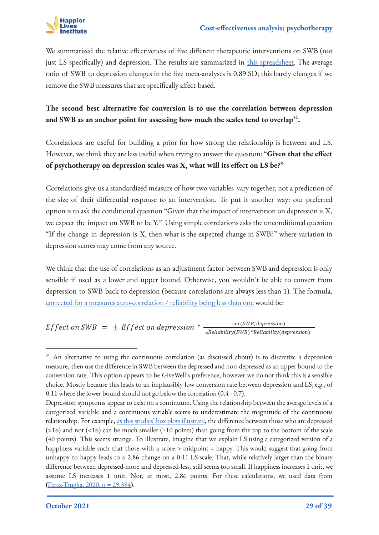

We summarized the relative effectiveness of five different therapeutic interventions on SWB (not just LS specifically) and depression. The results are summarized in [this spreadsheet](https://docs.google.com/spreadsheets/d/1_ggdEur8uhQozmNWqWUZumr-w7Zv_3gR4dJnYysnoCE/edit?usp=sharing). The average ratio of SWB to depression changes in the five meta-analyses is 0.89 SD; this barely changes if we remove the SWB measures that are specifically affect-based.

**The second best alternative for conversion is to use the correlation between depression and SWB as an anchor point for assessing how much the scales tend to overlap<sup>31</sup> .**

Correlations are useful for building a prior for how strong the relationship is between and LS. However, we think they are less useful when trying to answer the question: "**Given that the effect of psychotherapy on depression scales was X, what will its effect on LS be?"**

Correlations give us a standardized measure of how two variables vary together, not a prediction of the size of their differential response to an intervention. To put it another way: our preferred option is to ask the conditional question "Given that the impact of intervention on depression is X, we expect the impact on SWB to be Y." Using simple correlations asks the unconditional question "If the change in depression is X, then what is the expected change in SWB?" where variation in depression scores may come from any source.

We think that the use of correlations as an adjustment factor between SWB and depression is only sensible if used as a lower and upper bound. Otherwise, you wouldn't be able to convert from depression to SWB back to depression (because correlations are always less than 1). The formula, [corrected for a measures auto-correlation / reliability being less than one](https://en.wikipedia.org/wiki/Regression_dilution#Correlation_correction) would be:

Effect on SWB =  $\pm$  Effect on depression  $*\frac{cor(SWB, depression)}{\sqrt{Reliability(SWB)*Reliability(depression)}}$ 

<sup>&</sup>lt;sup>31</sup> An alternative to using the continuous correlation (as discussed about) is to discretize a depression measure, then use the difference in SWB between the depressed and non-depressed as an upper bound to the conversion rate. This option appears to be GiveWell's preference, however we do not think this is a sensible choice. Mostly because this leads to an implausibly low conversion rate between depression and LS, e.g., of 0.11 where the lower bound should not go below the correlation (0.4 - 0.7).

Depression symptoms appear to exist on a continuum. Using the relationship between the average levels of a categorized variable and a continuous variable seems to underestimate the magnitude of the continuous relationship. For example, [as this studies' box plots illustrate](https://hqlo.biomedcentral.com/articles/10.1186/1477-7525-5-41), the difference between those who are depressed  $(>16)$  and not  $(<16)$  can be much smaller  $(>10)$  points) than going from the top to the bottom of the scale (40 points). This seems strange. To illustrate, imagine that we explain LS using a categorized version of a happiness variable such that those with a score > midpoint = happy. This would suggest that going from unhappy to happy leads to a 2.86 change on a 0-11 LS scale. That, while relatively larger than the binary difference between depressed-more and depressed-less, still seems too small. If happiness increases 1 unit, we assume LS increases 1 unit. Not, at most, 2.86 points. For these calculations, we used data from **(**[Perez-Truglia, 2020, n = 29,394\)](https://www.aeaweb.org/articles?id=10.1257/aer.20160256).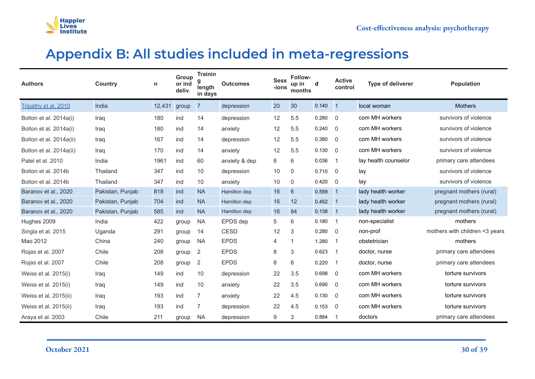

### **Appendix B: All studies included in meta-regressions**

<span id="page-29-0"></span>

| <b>Authors</b>          | <b>Country</b>   | n            | Group<br>or ind<br>deliv. | <b>Trainin</b><br>length<br>in days | <b>Outcomes</b> | <b>Sess</b><br>-ions | <b>Follow-</b><br>up in<br>months | d     | <b>Active</b><br>control | <b>Type of deliverer</b> | <b>Population</b>              |
|-------------------------|------------------|--------------|---------------------------|-------------------------------------|-----------------|----------------------|-----------------------------------|-------|--------------------------|--------------------------|--------------------------------|
| Tripathy et al. 2010    | India            | 12,431 group |                           | $\overline{7}$                      | depression      | 20                   | 30                                | 0.140 | $\vert$ 1                | local woman              | <b>Mothers</b>                 |
| Bolton et al. 2014a(i)  | Iraq             | 180          | ind                       | 14                                  | depression      | 12                   | 5.5                               | 0.280 | $\overline{0}$           | com MH workers           | survivors of violence          |
| Bolton et al. 2014a(i)  | Iraq             | 180          | ind                       | 14                                  | anxiety         | 12                   | 5.5                               | 0.240 | $\overline{0}$           | com MH workers           | survivors of violence          |
| Bolton et al. 2014a(ii) | Iraq             | 167          | ind                       | 14                                  | depression      | 12                   | 5.5                               | 0.380 | $\overline{0}$           | com MH workers           | survivors of violence          |
| Bolton et al. 2014a(ii) | Iraq             | 170          | ind                       | 14                                  | anxiety         | 12                   | 5.5                               | 0.130 | $\Omega$                 | com MH workers           | survivors of violence          |
| Patel et al. 2010       | India            | 1961         | ind                       | 60                                  | anxiety & dep   | 8                    | 6                                 | 0.036 | $\overline{1}$           | lay health counselor     | primary care attendees         |
| Bolton et al. 2014b     | Thailand         | 347          | ind                       | 10                                  | depression      | 10                   | 0                                 | 0.710 | $\overline{0}$           | lay                      | survivors of violence          |
| Bolton et al. 2014b     | Thailand         | 347          | ind                       | 10                                  | anxiety         | 10                   | $\mathbf{0}$                      | 0.420 | $\Omega$                 | lay                      | survivors of violence          |
| Baranov et al., 2020    | Pakistan, Punjab | 818          | ind                       | <b>NA</b>                           | Hamilton dep    | 16                   | 6                                 | 0.559 | $\vert$ 1                | lady health worker       | pregnant mothers (rural)       |
| Baranov et al., 2020    | Pakistan, Punjab | 704          | ind                       | <b>NA</b>                           | Hamilton dep    | 16                   | 12                                | 0.452 | $\vert$ 1                | lady health worker       | pregnant mothers (rural)       |
| Baranov et al., 2020    | Pakistan, Punjab | 585          | ind                       | <b>NA</b>                           | Hamilton dep    | 16                   | 84                                | 0.138 | $\vert$ 1                | lady health worker       | pregnant mothers (rural)       |
| Hughes 2009             | India            | 422          | group                     | <b>NA</b>                           | EPDS dep        | 5                    | 6                                 | 0.180 | $\overline{1}$           | non-specialist           | mothers                        |
| Singla et al. 2015      | Uganda           | 291          | group                     | 14                                  | <b>CESD</b>     | 12                   | 3                                 | 0.280 | $\Omega$                 | non-prof                 | mothers with children <3 years |
| Mao 2012                | China            | 240          | group                     | <b>NA</b>                           | <b>EPDS</b>     | $\overline{4}$       | -1                                | 1.280 | $\overline{1}$           | obstetrician             | mothers                        |
| Rojas et al. 2007       | Chile            | 208          | group                     | 2                                   | <b>EPDS</b>     | $\,8\,$              | 3                                 | 0.623 | $\overline{1}$           | doctor, nurse            | primary care attendees         |
| Rojas et al. 2007       | Chile            | 208          | group                     | 2                                   | <b>EPDS</b>     | 8                    | 6                                 | 0.220 | $\overline{1}$           | doctor, nurse            | primary care attendees         |
| Weiss et al. 2015(i)    | Iraq             | 149          | ind                       | 10                                  | depression      | 22                   | 3.5                               | 0.698 | $\overline{0}$           | com MH workers           | torture survivors              |
| Weiss et al. 2015(i)    | Iraq             | 149          | ind                       | 10                                  | anxiety         | 22                   | 3.5                               | 0.690 | $\Omega$                 | com MH workers           | torture survivors              |
| Weiss et al. 2015(ii)   | Iraq             | 193          | ind                       | $\overline{7}$                      | anxiety         | 22                   | 4.5                               | 0.130 | $\Omega$                 | com MH workers           | torture survivors              |
| Weiss et al. 2015(ii)   | Iraq             | 193          | ind                       | 7                                   | depression      | 22                   | 4.5                               | 0.153 | $\Omega$                 | com MH workers           | torture survivors              |
| Araya et al. 2003       | Chile            | 211          | group                     | NA                                  | depression      | 9                    | 3                                 | 0.884 | $\overline{1}$           | doctors                  | primary care attendees         |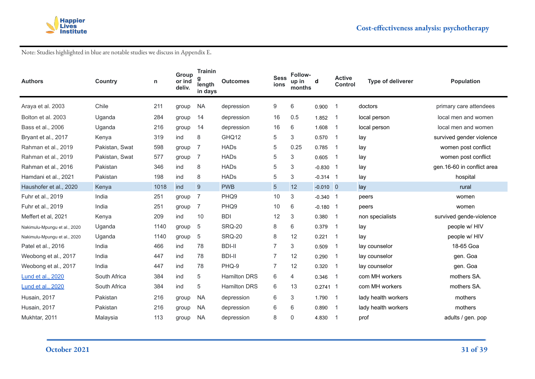

Note: Studies highlighted in blue are notable studies we discuss in Appendix E.

| <b>Authors</b>               | <b>Country</b> | n    | Group<br>or ind<br>deliv. | <b>Trainin</b><br>length<br>in days | <b>Outcomes</b>     | <b>Sess</b><br>ions | <b>Follow-</b><br>up in<br>months | d          | <b>Active</b><br><b>Control</b> | Type of deliverer   | <b>Population</b>          |
|------------------------------|----------------|------|---------------------------|-------------------------------------|---------------------|---------------------|-----------------------------------|------------|---------------------------------|---------------------|----------------------------|
| Araya et al. 2003            | Chile          | 211  | group                     | <b>NA</b>                           | depression          | 9                   | 6                                 | 0.900      | -1                              | doctors             | primary care attendees     |
| Bolton et al. 2003           | Uganda         | 284  | group                     | 14                                  | depression          | 16                  | 0.5                               | 1.852      | -1                              | local person        | local men and women        |
| Bass et al., 2006            | Uganda         | 216  | group                     | 14                                  | depression          | 16                  | 6                                 | 1.608      | $\overline{1}$                  | local person        | local men and women        |
| Bryant et al., 2017          | Kenya          | 319  | ind                       | 8                                   | GHQ12               | 5                   | 3                                 | 0.570      | -1                              | lay                 | survived gender violence   |
| Rahman et al., 2019          | Pakistan, Swat | 598  | group                     | 7                                   | <b>HADs</b>         | 5                   | 0.25                              | 0.785      | -1                              | lay                 | women post conflict        |
| Rahman et al., 2019          | Pakistan, Swat | 577  | group                     | 7                                   | <b>HADs</b>         | 5                   | 3                                 | 0.605      | -1                              | lay                 | women post conflict        |
| Rahman et al., 2016          | Pakistan       | 346  | ind                       | 8                                   | <b>HADs</b>         | 5                   | 3                                 | $-0.830$ 1 |                                 | lay                 | gen.16-60 in conflict area |
| Hamdani et al., 2021         | Pakistan       | 198  | ind                       | 8                                   | <b>HADs</b>         | 5                   | 3                                 | $-0.314$ 1 |                                 | lay                 | hospital                   |
| Haushofer et al., 2020       | Kenya          | 1018 | ind                       | 9                                   | <b>PWB</b>          | $\overline{5}$      | 12                                | $-0.010$ 0 |                                 | lay                 | rural                      |
| Fuhr et al., 2019            | India          | 251  | group                     | 7                                   | PHQ9                | 10                  | 3                                 | $-0.340$ 1 |                                 | peers               | women                      |
| Fuhr et al., 2019            | India          | 251  | group                     | 7                                   | PHQ9                | 10                  | 6                                 | $-0.180$ 1 |                                 | peers               | women                      |
| Meffert et al, 2021          | Kenya          | 209  | ind                       | 10                                  | <b>BDI</b>          | 12                  | 3                                 | 0.380      | -1                              | non specialists     | survived gende-violence    |
| Nakimulu-Mpungu et al., 2020 | Uganda         | 1140 | group                     | 5                                   | <b>SRQ-20</b>       | 8                   | 6                                 | 0.379      | -1                              | lay                 | people w/ HIV              |
| Nakimulu-Mpungu et al., 2020 | Uganda         | 1140 | group                     | 5                                   | <b>SRQ-20</b>       | 8                   | 12                                | 0.221      | $\overline{1}$                  | lay                 | people w/ HIV              |
| Patel et al., 2016           | India          | 466  | ind                       | 78                                  | <b>BDI-II</b>       | $\overline{7}$      | 3                                 | 0.509      | $\overline{1}$                  | lay counselor       | 18-65 Goa                  |
| Weobong et al., 2017         | India          | 447  | ind                       | 78                                  | <b>BDI-II</b>       | $\overline{7}$      | 12                                | 0.290      | -1                              | lay counselor       | gen. Goa                   |
| Weobong et al., 2017         | India          | 447  | ind                       | 78                                  | PHQ-9               | $\overline{7}$      | 12                                | 0.320      | -1                              | lay counselor       | gen. Goa                   |
| <b>Lund et al., 2020</b>     | South Africa   | 384  | ind                       | 5                                   | <b>Hamilton DRS</b> | 6                   | 4                                 | 0.346      | -1                              | com MH workers      | mothers SA.                |
| Lund et al., 2020            | South Africa   | 384  | ind                       | 5                                   | <b>Hamilton DRS</b> | 6                   | 13                                | $0.2741$ 1 |                                 | com MH workers      | mothers SA.                |
| Husain, 2017                 | Pakistan       | 216  | group                     | <b>NA</b>                           | depression          | 6                   | 3                                 | 1.790      | $\overline{1}$                  | lady health workers | mothers                    |
| Husain, 2017                 | Pakistan       | 216  | group                     | <b>NA</b>                           | depression          | 6                   | 6                                 | 0.890      | -1                              | lady health workers | mothers                    |
| Mukhtar, 2011                | Malaysia       | 113  | group                     | <b>NA</b>                           | depression          | 8                   | 0                                 | 4.830      | -1                              | prof                | adults / gen. pop          |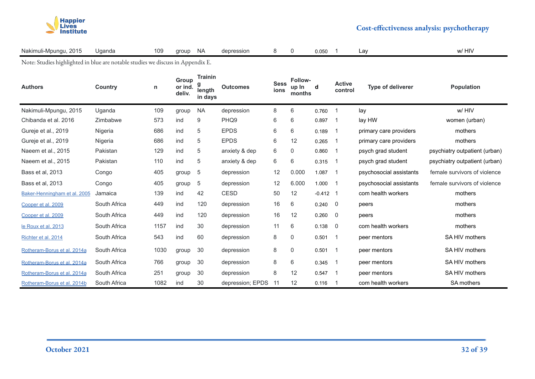

| Nakimuli-Mpungu, 2015<br>$\overline{\phantom{0}}$ | Uganda | 109 group NA |  | depression |  | $8 \quad 0$ | 0.050 | ∟av | w/ HIV |
|---------------------------------------------------|--------|--------------|--|------------|--|-------------|-------|-----|--------|
|---------------------------------------------------|--------|--------------|--|------------|--|-------------|-------|-----|--------|

Note: Studies highlighted in blue are notable studies we discuss in Appendix E.

| <b>Authors</b>               | Country      | n    | Group<br>or ind.<br>deliv. | <b>Trainin</b><br>g<br>length<br>in days | <b>Outcomes</b>  | <b>Sess</b><br>ions | Follow-<br>up In<br>months | d          | <b>Active</b><br>control | <b>Type of deliverer</b> | <b>Population</b>             |
|------------------------------|--------------|------|----------------------------|------------------------------------------|------------------|---------------------|----------------------------|------------|--------------------------|--------------------------|-------------------------------|
| Nakimuli-Mpungu, 2015        | Uganda       | 109  | group                      | <b>NA</b>                                | depression       | 8                   | 6                          | 0.760      | $\overline{1}$           | lav                      | w/ HIV                        |
| Chibanda et al. 2016         | Zimbabwe     | 573  | ind                        | 9                                        | PHQ <sub>9</sub> | 6                   | 6                          | 0.897      | $\overline{1}$           | lay HW                   | women (urban)                 |
| Gureje et al., 2019          | Nigeria      | 686  | ind                        | 5                                        | <b>EPDS</b>      | 6                   | 6                          | 0.189      | -1                       | primary care providers   | mothers                       |
| Gureje et al., 2019          | Nigeria      | 686  | ind                        | 5                                        | <b>EPDS</b>      | 6                   | 12                         | 0.265      | -1                       | primary care providers   | mothers                       |
| Naeem et al., 2015           | Pakistan     | 129  | ind                        | 5                                        | anxiety & dep    | 6                   | 0                          | 0.860      | $\overline{1}$           | psych grad student       | psychiatry outpatient (urban) |
| Naeem et al., 2015           | Pakistan     | 110  | ind                        | 5                                        | anxiety & dep    | 6                   | 6                          | 0.315      | -1                       | psych grad student       | psychiatry outpatient (urban) |
| Bass et al, 2013             | Congo        | 405  | group                      | 5                                        | depression       | 12                  | 0.000                      | 1.087      | $\overline{1}$           | psychosocial assistants  | female survivors of violence  |
| Bass et al, 2013             | Congo        | 405  | group                      | 5                                        | depression       | 12                  | 6.000                      | 1.000      | - 1                      | psychosocial assistants  | female survivors of violence  |
| Baker-Henningham et al. 2005 | Jamaica      | 139  | ind                        | 42                                       | <b>CESD</b>      | 50                  | 12                         | $-0.412$ 1 |                          | com health workers       | mothers                       |
| Cooper et al. 2009           | South Africa | 449  | ind                        | 120                                      | depression       | 16                  | 6                          | 0.240      | - 0                      | peers                    | mothers                       |
| Cooper et al. 2009           | South Africa | 449  | ind                        | 120                                      | depression       | 16                  | 12                         | 0.260      | - 0                      | peers                    | mothers                       |
| le Roux et al. 2013          | South Africa | 1157 | ind                        | 30                                       | depression       | 11                  | 6                          | 0.138      | 0                        | com health workers       | mothers                       |
| Richter et al. 2014          | South Africa | 543  | ind                        | 60                                       | depression       | 8                   | 0                          | 0.501      | $\overline{1}$           | peer mentors             | SA HIV mothers                |
| Rotheram-Borus et al. 2014a  | South Africa | 1030 | group                      | 30                                       | depression       | 8                   | $\mathbf 0$                | 0.501      | -1                       | peer mentors             | SA HIV mothers                |
| Rotheram-Borus et al. 2014a  | South Africa | 766  | group                      | 30                                       | depression       | 8                   | 6                          | 0.345      | -1                       | peer mentors             | SA HIV mothers                |
| Rotheram-Borus et al. 2014a  | South Africa | 251  | group                      | 30                                       | depression       | 8                   | 12                         | 0.547      | $\overline{1}$           | peer mentors             | SA HIV mothers                |
| Rotheram-Borus et al. 2014b  | South Africa | 1082 | ind                        | 30                                       | depression; EPDS | 11                  | 12                         | 0.116      | -1                       | com health workers       | <b>SA mothers</b>             |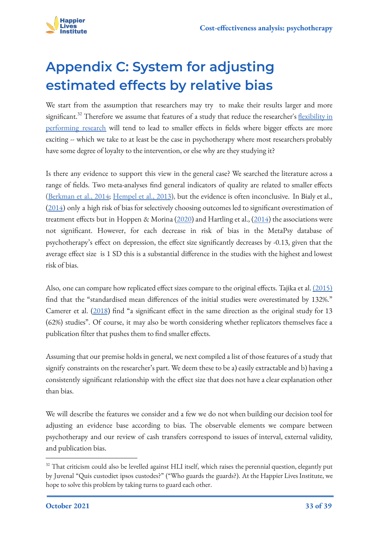

# <span id="page-32-0"></span>**Appendix C: System for adjusting estimated effects by relative bias**

We start from the assumption that researchers may try to make their results larger and more significant.<sup>32</sup> Therefore we assume that features of a study that reduce the researcher's [flexibility in](https://en.wikipedia.org/wiki/Researcher_degrees_of_freedom) [performing research](https://en.wikipedia.org/wiki/Researcher_degrees_of_freedom) will tend to lead to smaller effects in fields where bigger effects are more exciting -- which we take to at least be the case in psychotherapy where most researchers probably have some degree of loyalty to the intervention, or else why are they studying it?

Is there any evidence to support this view in the general case? We searched the literature across a range of fields. Two meta-analyses find general indicators of quality are related to smaller effects ([Berkman et al., 2014;](https://europepmc.org/article/nbk/nbk253181) [Hempel et al., 2013](https://www.ncbi.nlm.nih.gov/books/NBK84249/)), but the evidence is often inconclusive. In Bialy et al., ([2014\)](https://www.semanticscholar.org/paper/A-meta-epidemiological-study-to-examine-the-between-Bialy-Vandermeer/f152bf3471d7bc1f261d59fb3922d8a9b417ab4c) only a high risk of bias for selectively choosing outcomes led to significant overestimation of treatment effects but in Hoppen & Morina [\(2020](https://www.sciencedirect.com/science/article/abs/pii/S027273582030043X)) and Hartling et al., [\(2014](https://www.semanticscholar.org/paper/Quantifying-Bias-in-Randomized-Controlled-Trials-in-Hartling-Hamm/9a94ab34f9ac3d264ae8bd6e46add6722d3446ec)) the associations were not significant. However, for each decrease in risk of bias in the MetaPsy database of psychotherapy's effect on depression, the effect size significantly decreases by -0.13, given that the average effect size is 1 SD this is a substantial difference in the studies with the highest and lowest risk of bias.

Also, one can compare how replicated effect sizes compare to the original effects. Tajika et al. [\(2015\)](https://www.cambridge.org/core/journals/the-british-journal-of-psychiatry/article/replication-and-contradiction-of-highly-cited-research-papers-in-psychiatry-10year-followup/F97369E4B6D2E13EEB04E0DD2F777734) find that the "standardised mean differences of the initial studies were overestimated by 132%." Camerer et al. [\(2018](https://www.nature.com/articles/s41562-018-0399-z)) find "a significant effect in the same direction as the original study for 13 (62%) studies". Of course, it may also be worth considering whether replicators themselves face a publication filter that pushes them to find smaller effects.

Assuming that our premise holds in general, we next compiled a list of those features of a study that signify constraints on the researcher's part. We deem these to be a) easily extractable and b) having a consistently significant relationship with the effect size that does not have a clear explanation other than bias.

We will describe the features we consider and a few we do not when building our decision tool for adjusting an evidence base according to bias. The observable elements we compare between psychotherapy and our review of cash transfers correspond to issues of interval, external validity, and publication bias.

<sup>&</sup>lt;sup>32</sup> That criticism could also be levelled against HLI itself, which raises the perennial question, elegantly put by Juvenal "Quis custodiet ipsos custodes?" ("Who guards the guards?). At the Happier Lives Institute, we hope to solve this problem by taking turns to guard each other.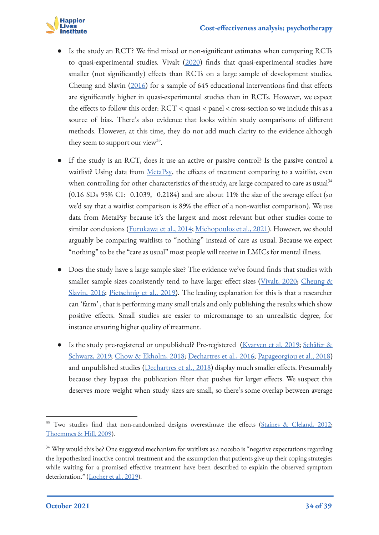

- Is the study an RCT? We find mixed or non-significant estimates when comparing RCTs to quasi-experimental studies. Vivalt [\(2020](https://academic.oup.com/jeea/article-abstract/18/6/3045/5908781)) finds that quasi-experimental studies have smaller (not significantly) effects than RCTs on a large sample of development studies. Cheung and Slavin [\(2016\)](https://journals.sagepub.com/doi/abs/10.3102/0013189X16656615) for a sample of 645 educational interventions find that effects are significantly higher in quasi-experimental studies than in RCTs. However, we expect the effects to follow this order: RCT < quasi < panel < cross-section so we include this as a source of bias. There's also evidence that looks within study comparisons of different methods. However, at this time, they do not add much clarity to the evidence although they seem to support our view<sup>33</sup>.
- If the study is an RCT, does it use an active or passive control? Is the passive control a waitlist? Using data from [MetaPsy](https://evidencebasedpsychotherapies.shinyapps.io/metapsy/), the effects of treatment comparing to a waitlist, even when controlling for other characteristics of the study, are large compared to care as usual $34$ (0.16 SDs 95% CI: 0.1039, 0.2184) and are about 11% the size of the average effect (so we'd say that a waitlist comparison is 89% the effect of a non-waitlist comparison). We use data from MetaPsy because it's the largest and most relevant but other studies come to similar conclusions (*[Furukawa et al., 2014](https://onlinelibrary.wiley.com/doi/abs/10.1111/acps.12275)*; *Michopoulos et al., 2021*). However, we should arguably be comparing waitlists to "nothing" instead of care as usual. Because we expect "nothing" to be the "care as usual" most people will receive in LMICs for mental illness.
- Does the study have a large sample size? The evidence we've found finds that studies with smaller sample sizes consistently tend to have larger effect sizes ([Vivalt, 2020;](https://academic.oup.com/jeea/article-abstract/18/6/3045/5908781) Cheung  $\&$ [Slavin, 2016](https://journals.sagepub.com/doi/abs/10.3102/0013189X16656615); [Pietschnig et al., 2019\)](https://www.frontiersin.org/articles/10.3389/fpsyg.2019.02874/full). The leading explanation for this is that a researcher can 'farm' , that is performing many small trials and only publishing the results which show positive effects. Small studies are easier to micromanage to an unrealistic degree, for instance ensuring higher quality of treatment.
- Is the study pre-registered or unpublished? Pre-registered [\(Kvarven et al. 2019;](https://www.nature.com/articles/s41562-019-0787-z?proof=true) [Schäfer &](https://www.frontiersin.org/articles/10.3389/fpsyg.2019.00813/full) [Schwarz, 2019;](https://www.frontiersin.org/articles/10.3389/fpsyg.2019.00813/full) [Chow & Ekholm, 2018](https://link.springer.com/article/10.1007/s10648-018-9437-7); [Dechartres et al., 2016;](https://bmcmedicine.biomedcentral.com/articles/10.1186/s12916-016-0639-x) [Papageorgiou et al., 2018](https://www.sciencedirect.com/science/article/abs/pii/S0895435617311381)) and unpublished studies ([Dechartres et al., 2018\)](https://www.acpjournals.org/doi/abs/10.7326/M18-1517) display much smaller effects. Presumably because they bypass the publication filter that pushes for larger effects. We suspect this deserves more weight when study sizes are small, so there's some overlap between average

<sup>&</sup>lt;sup>33</sup> Two studies find that non-randomized designs overestimate the effects ([Staines & Cleland, 2012;](https://journals.sagepub.com/doi/abs/10.1037/a0026493) [Thoemmes & Hill, 2009](https://www.tandfonline.com/doi/abs/10.1080/00273170903467521?journalCode=hmbr20)).

<sup>&</sup>lt;sup>34</sup> Why would this be? One suggested mechanism for waitlists as a nocebo is "negative expectations regarding the hypothesized inactive control treatment and the assumption that patients give up their coping strategies while waiting for a promised effective treatment have been described to explain the observed symptom deterioration." ([Locher et al., 2019](https://www.frontiersin.org/articles/10.3389/fpsyt.2019.00555/full)).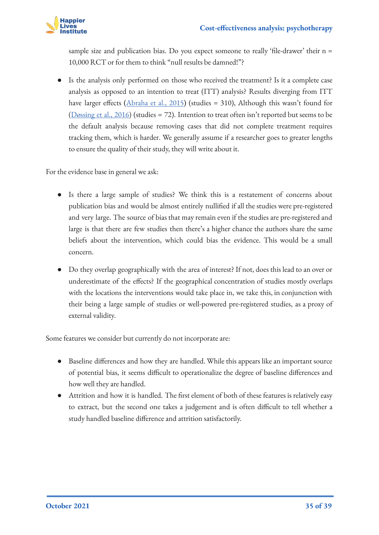

sample size and publication bias. Do you expect someone to really 'file-drawer' their n = 10,000 RCT or for them to think "null results be damned!"?

● Is the analysis only performed on those who received the treatment? Is it a complete case analysis as opposed to an intention to treat (ITT) analysis? Results diverging from ITT have larger effects ( $\Delta$ braha et al., 2015) (studies = 310), Although this wasn't found for ([Døssing et al., 2016](https://www.semanticscholar.org/paper/Modified-intention-to-treat-analysis-did-not-bias-D%C3%B8ssing-Tarp/6960429c9110c53e884a29b874e5d41d922aca98)) (studies = 72). Intention to treat often isn't reported but seems to be the default analysis because removing cases that did not complete treatment requires tracking them, which is harder. We generally assume if a researcher goes to greater lengths to ensure the quality of their study, they will write about it.

For the evidence base in general we ask:

- Is there a large sample of studies? We think this is a restatement of concerns about publication bias and would be almost entirely nullified if all the studies were pre-registered and very large. The source of bias that may remain even if the studies are pre-registered and large is that there are few studies then there's a higher chance the authors share the same beliefs about the intervention, which could bias the evidence. This would be a small concern.
- Do they overlap geographically with the area of interest? If not, does this lead to an over or underestimate of the effects? If the geographical concentration of studies mostly overlaps with the locations the interventions would take place in, we take this, in conjunction with their being a large sample of studies or well-powered pre-registered studies, as a proxy of external validity.

Some features we consider but currently do not incorporate are:

- Baseline differences and how they are handled. While this appears like an important source of potential bias, it seems difficult to operationalize the degree of baseline differences and how well they are handled.
- Attrition and how it is handled. The first element of both of these features is relatively easy to extract, but the second one takes a judgement and is often difficult to tell whether a study handled baseline difference and attrition satisfactorily.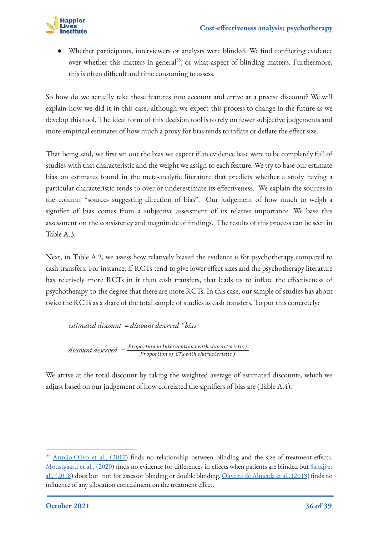

Whether participants, interviewers or analysts were blinded. We find conflicting evidence over whether this matters in general<sup>35</sup>, or what aspect of blinding matters. Furthermore, this is often difficult and time consuming to assess.

So how do we actually take these features into account and arrive at a precise discount? We will explain how we did it in this case, although we expect this process to change in the future as we develop this tool. The ideal form of this decision tool is to rely on fewer subjective judgements and more empirical estimates of how much a proxy for bias tends to inflate or deflate the effect size.

That being said, we first set out the bias we expect if an evidence base were to be completely full of studies with that characteristic and the weight we assign to each feature. We try to base our estimate bias on estimates found in the meta-analytic literature that predicts whether a study having a particular characteristic tends to over or underestimate its effectiveness. We explain the sources in the column "sources suggesting direction of bias". Our judgement of how much to weigh a signifier of bias comes from a subjective assessment of its relative importance. We base this assessment on the consistency and magnitude of findings. The results of this process can be seen in Table A.3.

Next, in Table A.2, we assess how relatively biased the evidence is for psychotherapy compared to cash transfers. For instance, if RCTs tend to give lower effect sizes and the psychotherapy literature has relatively more RCTs in it than cash transfers, that leads us to inflate the effectiveness of psychotherapy to the degree that there are more RCTs. In this case, our sample of studies has about twice the RCTs as a share of the total sample of studies as cash transfers. To put this concretely:

*estimated discount = discount deserved \* bias*

*discount deserved =*  $\frac{Proportion in\ International\ with\ characteristic\ j}{Proportion\ of\ CTs\ with\ characteristic\ j}$ 

We arrive at the total discount by taking the weighted average of estimated discounts, which we adjust based on our judgement of how correlated the signifiers of bias are (Table A.4).

<sup>&</sup>lt;sup>35</sup> [Armijo-Olivo et al., \(2017\)](https://journals.lww.com/ajpmr/Abstract/2017/01000/Blinding_in_Physical_Therapy_Trials_and_Its.5.aspx) finds no relationship between blinding and the size of treatment effects. [Moustgaard et al., \(2020\)](https://www.bmj.com/content/368/bmj.l6802.long) finds no evidence for differences in effects when patients are blinded but [Saltaji et](https://link.springer.com/article/10.1186/s12874-018-0491-0) [al., \(2018\)](https://link.springer.com/article/10.1186/s12874-018-0491-0) does but not for assessor blinding or double blinding. [Oliveira de Almeida et al., \(2019](https://www.sciencedirect.com/science/article/abs/pii/S0003999319300814)) finds no influence of any allocation concealment on the treatment effect.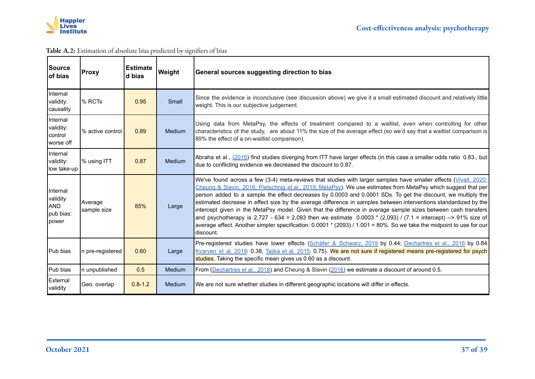

#### **Table A.2:** Estimation of absolute bias predicted by signifiers of bias

| Source<br>of bias                                        | <b>Proxy</b>           | <b>Estimate</b><br>d bias | Weight        | General sources suggesting direction to bias                                                                                                                                                                                                                                                                                                                                                                                                                                                                                                                                                                                                                                                                                                                                                                                                                 |
|----------------------------------------------------------|------------------------|---------------------------|---------------|--------------------------------------------------------------------------------------------------------------------------------------------------------------------------------------------------------------------------------------------------------------------------------------------------------------------------------------------------------------------------------------------------------------------------------------------------------------------------------------------------------------------------------------------------------------------------------------------------------------------------------------------------------------------------------------------------------------------------------------------------------------------------------------------------------------------------------------------------------------|
| Internal<br>validity:<br>causality                       | % RCTs                 | 0.95                      | Small         | Since the evidence is inconclusive (see discussion above) we give it a small estimated discount and relatively little<br>weight. This is our subjective judgement.                                                                                                                                                                                                                                                                                                                                                                                                                                                                                                                                                                                                                                                                                           |
| Internal<br>validity:<br>control<br>worse off            | % active control       | 0.89                      | Medium        | Using data from MetaPsy, the effects of treatment compared to a waitlist, even when controlling for other<br>characteristics of the study, are about 11% the size of the average effect (so we'd say that a waitlist comparison is<br>89% the effect of a on-waitlist comparison).                                                                                                                                                                                                                                                                                                                                                                                                                                                                                                                                                                           |
| Internal<br>validity:<br>low take-up                     | % using ITT            | 0.87                      | <b>Medium</b> | Abraha et al., (2015) find studies diverging from ITT have larger effects (in this case a smaller odds ratio 0.83., but<br>due to conflicting evidence we decreased the discount to 0.87.                                                                                                                                                                                                                                                                                                                                                                                                                                                                                                                                                                                                                                                                    |
| Internal<br>validity<br><b>AND</b><br>pub bias:<br>power | Average<br>sample size | 85%                       | Large         | We've found across a few (3-4) meta-reviews that studies with larger samples have smaller effects (Vivalt, 2020;<br>Cheung & Slavin, 2016; Pietschnig et al., 2019; MetaPsy). We use estimates from MetaPsy which suggest that per<br>person added to a sample the effect decreases by 0.0003 and 0.0001 SDs. To get the discount, we multiply the<br>estimated decrease in effect size by the average difference in samples between interventions standardized by the<br>intercept given in the MetaPsy model. Given that the difference in average sample sizes between cash transfers<br>and psychotherapy is 2,727 - 634 = 2,093 then we estimate $0.0003 * (2,093) / (7.1 = \text{intercept})$ --> 91% size of<br>average effect. Another simpler specification: $0.0001 * (2093) / 1.001 = 80%$ . So we take the midpoint to use for our<br>Idiscount. |
| IPub bias                                                | In pre-registered      | 0.60                      | Large         | Pre-registered studies have lower effects (Schäfer & Schwarz, 2019 by 0.44; Dechartres et al., 2016 by 0.84<br>Kvarven et al. 2019: 0.38, Tajika et al. 2015: 0.75). We are not sure if registered means pre-registered for psych<br>studies. Taking the specific mean gives us 0.60 as a discount.                                                                                                                                                                                                                                                                                                                                                                                                                                                                                                                                                          |
| Pub bias                                                 | In unpublished         | 0.5                       | <b>Medium</b> | From (Dechartres et al., 2018) and Cheung & Slavin (2016) we estimate a discount of around 0.5.                                                                                                                                                                                                                                                                                                                                                                                                                                                                                                                                                                                                                                                                                                                                                              |
| External<br>validity                                     | Geo. overlap           | $0.8 - 1.2$               | <b>Medium</b> | We are not sure whether studies in different geographic locations will differ in effects.                                                                                                                                                                                                                                                                                                                                                                                                                                                                                                                                                                                                                                                                                                                                                                    |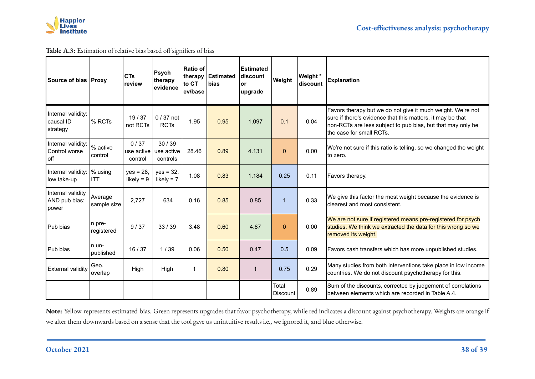

**Table A.3:** Estimation of relative bias based off signifiers of bias

| Source of bias IProxvl                      |                             | <b>CTs</b><br>review          | Psych<br>therapy<br>evidence    | Ratio of<br>therapy<br>lto CT<br>lev/base | <b>Estimated</b><br><b>bias</b> | <b>Estimated</b><br>ldiscount<br>lor<br>upgrade | Weight            | Weight *<br>discount | <b>Explanation</b>                                                                                                                                                                                                   |
|---------------------------------------------|-----------------------------|-------------------------------|---------------------------------|-------------------------------------------|---------------------------------|-------------------------------------------------|-------------------|----------------------|----------------------------------------------------------------------------------------------------------------------------------------------------------------------------------------------------------------------|
| Internal validity:<br>causal ID<br>strategy | % RCTs                      | 19/37<br>not RCTs             | $0/37$ not<br><b>RCTs</b>       | 1.95                                      | 0.95                            | 1.097                                           | 0.1               | 0.04                 | Favors therapy but we do not give it much weight. We're not<br>sure if there's evidence that this matters, it may be that<br>non-RCTs are less subject to pub bias, but that may only be<br>the case for small RCTs. |
| Internal validity:<br>Control worse<br>off  | % active<br>control         | 0/37<br>use active<br>control | 30/39<br>use active<br>controls | 28.46                                     | 0.89                            | 4.131                                           | $\mathbf 0$       | 0.00                 | We're not sure if this ratio is telling, so we changed the weight<br>to zero.                                                                                                                                        |
| Internal validity:  % using<br>low take-up  | ITT                         | $yes = 28,$<br>likely = $9$   | $yes = 32,$<br>likely = $7$     | 1.08                                      | 0.83                            | 1.184                                           | 0.25              | 0.11                 | Favors therapy.                                                                                                                                                                                                      |
| Internal validity<br>AND pub bias:<br>power | Average<br>sample size      | 2,727                         | 634                             | 0.16                                      | 0.85                            | 0.85                                            | 1                 | 0.33                 | We give this factor the most weight because the evidence is<br>clearest and most consistent.                                                                                                                         |
| Pub bias                                    | n pre-<br>registered        | 9/37                          | 33/39                           | 3.48                                      | 0.60                            | 4.87                                            | $\mathbf{0}$      | 0.00                 | We are not sure if registered means pre-registered for psych<br>studies. We think we extracted the data for this wrong so we<br>removed its weight.                                                                  |
| Pub bias                                    | n un-<br><b>l</b> published | 16 / 37                       | 1/39                            | 0.06                                      | 0.50                            | 0.47                                            | 0.5               | 0.09                 | Favors cash transfers which has more unpublished studies.                                                                                                                                                            |
| <b>External validity</b>                    | Geo.<br>overlap             | High                          | High                            | 1                                         | 0.80                            | $\mathbf 1$                                     | 0.75              | 0.29                 | Many studies from both interventions take place in low income<br>countries. We do not discount psychotherapy for this.                                                                                               |
|                                             |                             |                               |                                 |                                           |                                 |                                                 | Total<br>Discount | 0.89                 | Sum of the discounts, corrected by judgement of correlations<br>between elements which are recorded in Table A.4.                                                                                                    |

**Note:** Yellow represents estimated bias. Green represents upgrades that favor psychotherapy, while red indicates a discount against psychotherapy. Weights are orange if we alter them downwards based on a sense that the tool gave us unintuitive results i.e., we ignored it, and blue otherwise.